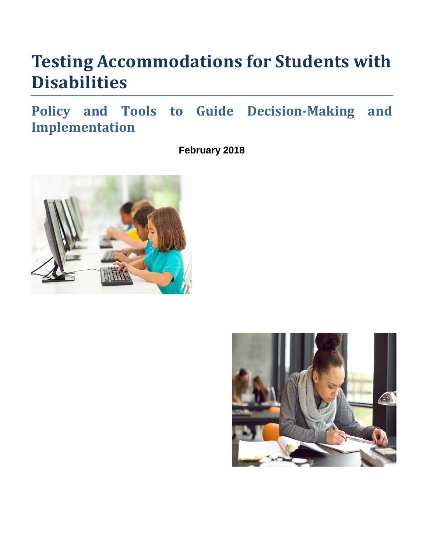## **Testing Accommodations for Students with Disabilities**

**Policy and Tools to Guide Decision-Making and Implementation**

**February 2018**



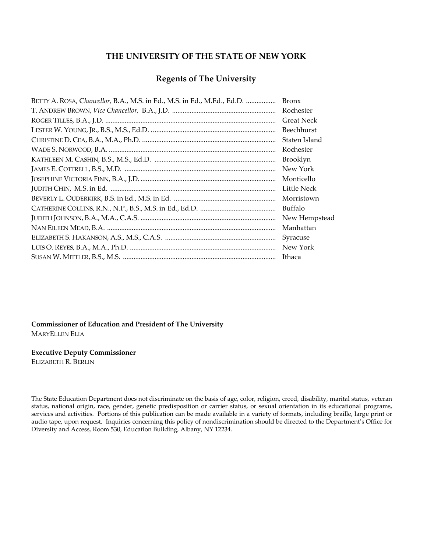#### **THE UNIVERSITY OF THE STATE OF NEW YORK**

#### **Regents of The University**

| BETTY A. ROSA, Chancellor, B.A., M.S. in Ed., M.S. in Ed., M.Ed., Ed.D. | <b>Bronx</b>      |
|-------------------------------------------------------------------------|-------------------|
|                                                                         | Rochester         |
|                                                                         | <b>Great Neck</b> |
|                                                                         | Beechhurst        |
|                                                                         | Staten Island     |
|                                                                         | Rochester         |
|                                                                         | Brooklyn          |
|                                                                         | New York          |
|                                                                         | Monticello        |
|                                                                         | Little Neck       |
|                                                                         | Morristown        |
|                                                                         | Buffalo           |
|                                                                         | New Hempstead     |
|                                                                         | Manhattan         |
|                                                                         | Syracuse          |
|                                                                         | New York          |
|                                                                         | Ithaca            |

**Commissioner of Education and President of The University** MARYELLEN ELIA

**Executive Deputy Commissioner**

ELIZABETH R. BERLIN

The State Education Department does not discriminate on the basis of age, color, religion, creed, disability, marital status, veteran status, national origin, race, gender, genetic predisposition or carrier status, or sexual orientation in its educational programs, services and activities. Portions of this publication can be made available in a variety of formats, including braille, large print or audio tape, upon request. Inquiries concerning this policy of nondiscrimination should be directed to the Department's Office for Diversity and Access, Room 530, Education Building, Albany, NY 12234.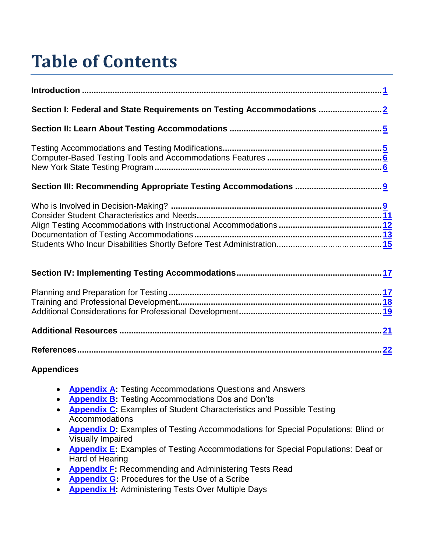# **Table of Contents**

| Section I: Federal and State Requirements on Testing Accommodations 2 |  |
|-----------------------------------------------------------------------|--|
|                                                                       |  |
|                                                                       |  |
|                                                                       |  |
|                                                                       |  |
|                                                                       |  |
|                                                                       |  |
|                                                                       |  |

**References.................................................................................................................................[.22](#page-25-0)**

#### **Appendices**

- **[Appendix A:](#page-26-0)** Testing Accommodations Questions and Answers
- **[Appendix B:](#page-40-0)** Testing Accommodations Dos and Don'ts
- **[Appendix C:](#page-41-0)** Examples of Student Characteristics and Possible Testing Accommodations
- **[Appendix D:](#page-45-0)** Examples of Testing Accommodations for Special Populations: Blind or Visually Impaired
- **[Appendix E:](#page-48-0)** Examples of Testing Accommodations for Special Populations: Deaf or Hard of Hearing
- **[Appendix F:](#page-50-0)** Recommending and Administering Tests Read
- **[Appendix G:](#page-57-0)** Procedures for the Use of a Scribe
- **[Appendix H:](#page-59-0)** Administering Tests Over Multiple Days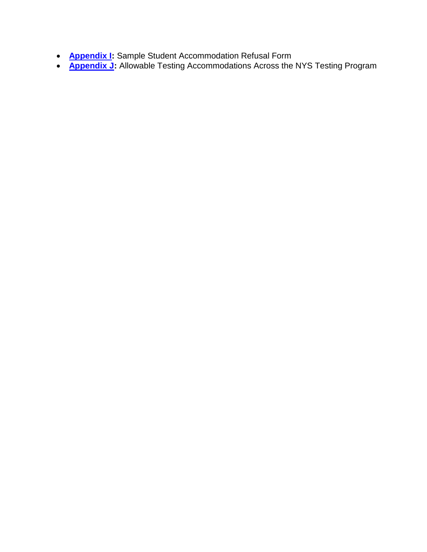- **[Appendix I:](#page-66-0)** Sample Student Accommodation Refusal Form
- **[Appendix J:](#page-67-0)** Allowable Testing Accommodations Across the NYS Testing Program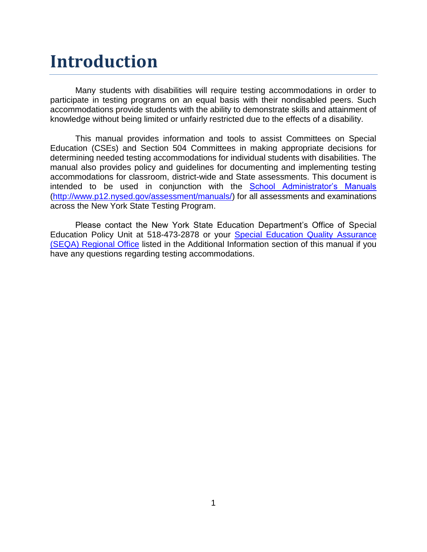### <span id="page-4-0"></span>**Introduction**

Many students with disabilities will require testing accommodations in order to participate in testing programs on an equal basis with their nondisabled peers. Such accommodations provide students with the ability to demonstrate skills and attainment of knowledge without being limited or unfairly restricted due to the effects of a disability.

This manual provides information and tools to assist Committees on Special Education (CSEs) and Section 504 Committees in making appropriate decisions for determining needed testing accommodations for individual students with disabilities. The manual also provides policy and guidelines for documenting and implementing testing accommodations for classroom, district-wide and State assessments. This document is intended to be used in conjunction with the [School Administrator's Manuals](http://www.p12.nysed.gov/assessment/manuals/) [\(http://www.p12.nysed.gov/assessment/manuals/\)](http://www.p12.nysed.gov/assessment/manuals/) for all assessments and examinations across the New York State Testing Program.

Please contact the New York State Education Department's Office of Special Education Policy Unit at 518-473-2878 or your [Special Education Quality](#page-24-0) Assurance [\(SEQA\)](#page-24-0) Regional Office listed in the Additional Information section of this manual if you have any questions regarding testing accommodations.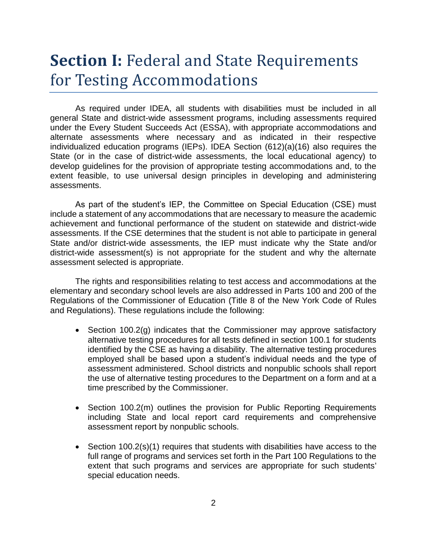### <span id="page-5-0"></span>**Section I:** Federal and State Requirements for Testing Accommodations

As required under IDEA, all students with disabilities must be included in all general State and district-wide assessment programs, including assessments required under the Every Student Succeeds Act (ESSA), with appropriate accommodations and alternate assessments where necessary and as indicated in their respective individualized education programs (IEPs). IDEA Section (612)(a)(16) also requires the State (or in the case of district-wide assessments, the local educational agency) to develop guidelines for the provision of appropriate testing accommodations and, to the extent feasible, to use universal design principles in developing and administering assessments.

As part of the student's IEP, the Committee on Special Education (CSE) must include a statement of any accommodations that are necessary to measure the academic achievement and functional performance of the student on statewide and district-wide assessments. If the CSE determines that the student is not able to participate in general State and/or district-wide assessments, the IEP must indicate why the State and/or district-wide assessment(s) is not appropriate for the student and why the alternate assessment selected is appropriate.

The rights and responsibilities relating to test access and accommodations at the elementary and secondary school levels are also addressed in Parts 100 and 200 of the Regulations of the Commissioner of Education (Title 8 of the New York Code of Rules and Regulations). These regulations include the following:

- Section 100.2(g) indicates that the Commissioner may approve satisfactory alternative testing procedures for all tests defined in section 100.1 for students identified by the CSE as having a disability. The alternative testing procedures employed shall be based upon a student's individual needs and the type of assessment administered. School districts and nonpublic schools shall report the use of alternative testing procedures to the Department on a form and at a time prescribed by the Commissioner.
- Section 100.2(m) outlines the provision for Public Reporting Requirements including State and local report card requirements and comprehensive assessment report by nonpublic schools.
- Section 100.2(s)(1) requires that students with disabilities have access to the full range of programs and services set forth in the Part 100 Regulations to the extent that such programs and services are appropriate for such students' special education needs.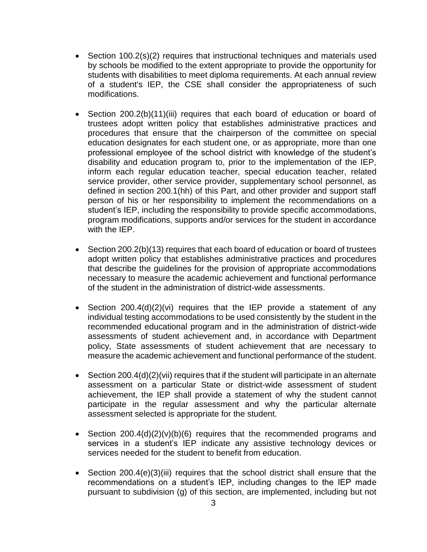- Section 100.2(s)(2) requires that instructional techniques and materials used by schools be modified to the extent appropriate to provide the opportunity for students with disabilities to meet diploma requirements. At each annual review of a student's IEP, the CSE shall consider the appropriateness of such modifications.
- Section 200.2(b)(11)(iii) requires that each board of education or board of trustees adopt written policy that establishes administrative practices and procedures that ensure that the chairperson of the committee on special education designates for each student one, or as appropriate, more than one professional employee of the school district with knowledge of the student's disability and education program to, prior to the implementation of the IEP, inform each regular education teacher, special education teacher, related service provider, other service provider, supplementary school personnel, as defined in section 200.1(hh) of this Part, and other provider and support staff person of his or her responsibility to implement the recommendations on a student's IEP, including the responsibility to provide specific accommodations, program modifications, supports and/or services for the student in accordance with the IEP.
- Section 200.2(b)(13) requires that each board of education or board of trustees adopt written policy that establishes administrative practices and procedures that describe the guidelines for the provision of appropriate accommodations necessary to measure the academic achievement and functional performance of the student in the administration of district-wide assessments.
- Section  $200.4(d)(2)(vi)$  requires that the IEP provide a statement of any individual testing accommodations to be used consistently by the student in the recommended educational program and in the administration of district-wide assessments of student achievement and, in accordance with Department policy, State assessments of student achievement that are necessary to measure the academic achievement and functional performance of the student.
- Section 200.4(d)(2)(vii) requires that if the student will participate in an alternate assessment on a particular State or district-wide assessment of student achievement, the IEP shall provide a statement of why the student cannot participate in the regular assessment and why the particular alternate assessment selected is appropriate for the student.
- Section  $200.4(d)(2)(v)(b)(6)$  requires that the recommended programs and services in a student's IEP indicate any assistive technology devices or services needed for the student to benefit from education.
- Section 200.4(e)(3)(iii) requires that the school district shall ensure that the recommendations on a student's IEP, including changes to the IEP made pursuant to subdivision (g) of this section, are implemented, including but not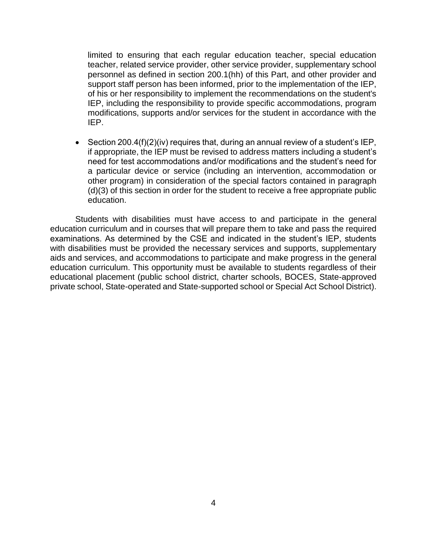limited to ensuring that each regular education teacher, special education teacher, related service provider, other service provider, supplementary school personnel as defined in section 200.1(hh) of this Part, and other provider and support staff person has been informed, prior to the implementation of the IEP, of his or her responsibility to implement the recommendations on the student's IEP, including the responsibility to provide specific accommodations, program modifications, supports and/or services for the student in accordance with the IEP.

• Section 200.4(f)(2)(iv) requires that, during an annual review of a student's IEP, if appropriate, the IEP must be revised to address matters including a student's need for test accommodations and/or modifications and the student's need for a particular device or service (including an intervention, accommodation or other program) in consideration of the special factors contained in paragraph (d)(3) of this section in order for the student to receive a free appropriate public education.

Students with disabilities must have access to and participate in the general education curriculum and in courses that will prepare them to take and pass the required examinations. As determined by the CSE and indicated in the student's IEP, students with disabilities must be provided the necessary services and supports, supplementary aids and services, and accommodations to participate and make progress in the general education curriculum. This opportunity must be available to students regardless of their educational placement (public school district, charter schools, BOCES, State-approved private school, State-operated and State-supported school or Special Act School District).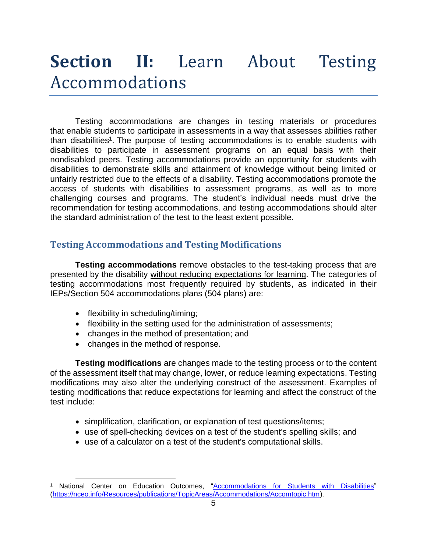## <span id="page-8-0"></span>**Section II:** Learn About Testing Accommodations

Testing accommodations are changes in testing materials or procedures that enable students to participate in assessments in a way that assesses abilities rather than disabilities<sup>1</sup>. The purpose of testing accommodations is to enable students with disabilities to participate in assessment programs on an equal basis with their nondisabled peers. Testing accommodations provide an opportunity for students with disabilities to demonstrate skills and attainment of knowledge without being limited or unfairly restricted due to the effects of a disability. Testing accommodations promote the access of students with disabilities to assessment programs, as well as to more challenging courses and programs. The student's individual needs must drive the recommendation for testing accommodations, and testing accommodations should alter the standard administration of the test to the least extent possible.

#### <span id="page-8-1"></span>**Testing Accommodations and Testing Modifications**

**Testing accommodations** remove obstacles to the test-taking process that are presented by the disability without reducing expectations for learning. The categories of testing accommodations most frequently required by students, as indicated in their IEPs/Section 504 accommodations plans (504 plans) are:

• flexibility in scheduling/timing;

 $\overline{a}$ 

- flexibility in the setting used for the administration of assessments;
- changes in the method of presentation; and
- changes in the method of response.

**Testing modifications** are changes made to the testing process or to the content of the assessment itself that may change, lower, or reduce learning expectations. Testing modifications may also alter the underlying construct of the assessment. Examples of testing modifications that reduce expectations for learning and affect the construct of the test include:

- simplification, clarification, or explanation of test questions/items;
- use of spell-checking devices on a test of the student's spelling skills; and
- use of a calculator on a test of the student's computational skills.

National Center on Education Outcomes, ["Accommodations for Students with Disabilities"](https://nceo.info/Resources/publications/TopicAreas/Accommodations/Accomtopic.htm) [\(https://nceo.info/Resources/publications/TopicAreas/Accommodations/Accomtopic.htm\)](https://nceo.info/Resources/publications/TopicAreas/Accommodations/Accomtopic.htm).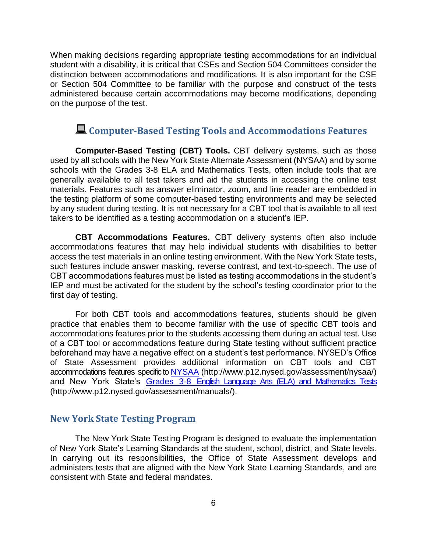When making decisions regarding appropriate testing accommodations for an individual student with a disability, it is critical that CSEs and Section 504 Committees consider the distinction between accommodations and modifications. It is also important for the CSE or Section 504 Committee to be familiar with the purpose and construct of the tests administered because certain accommodations may become modifications, depending on the purpose of the test.

#### <span id="page-9-0"></span>**Computer-Based Testing Tools and Accommodations Features**

**Computer-Based Testing (CBT) Tools.** CBT delivery systems, such as those used by all schools with the New York State Alternate Assessment (NYSAA) and by some schools with the Grades 3-8 ELA and Mathematics Tests, often include tools that are generally available to all test takers and aid the students in accessing the online test materials. Features such as answer eliminator, zoom, and line reader are embedded in the testing platform of some computer-based testing environments and may be selected by any student during testing. It is not necessary for a CBT tool that is available to all test takers to be identified as a testing accommodation on a student's IEP.

**CBT Accommodations Features.** CBT delivery systems often also include accommodations features that may help individual students with disabilities to better access the test materials in an online testing environment. With the New York State tests, such features include answer masking, reverse contrast, and text-to-speech. The use of CBT accommodations features must be listed as testing accommodations in the student's IEP and must be activated for the student by the school's testing coordinator prior to the first day of testing.

For both CBT tools and accommodations features, students should be given practice that enables them to become familiar with the use of specific CBT tools and accommodations features prior to the students accessing them during an actual test. Use of a CBT tool or accommodations feature during State testing without sufficient practice beforehand may have a negative effect on a student's test performance. NYSED's Office of State Assessment provides additional information on CBT tools and CBT accommodations features specific to [NYSAA](http://www.p12.nysed.gov/assessment/nysaa/) (http://www.p12.nysed.gov/assessment/nysaa/) and New York State's [Grades 3-8 English Language Arts \(ELA\) and Mathematics Tests](http://www.p12.nysed.gov/assessment/manuals/) (http://www.p12.nysed.gov/assessment/manuals/).

#### <span id="page-9-1"></span>**New York State Testing Program**

The New York State Testing Program is designed to evaluate the implementation of New York State's Learning Standards at the student, school, district, and State levels. In carrying out its responsibilities, the Office of State Assessment develops and administers tests that are aligned with the New York State Learning Standards, and are consistent with State and federal mandates.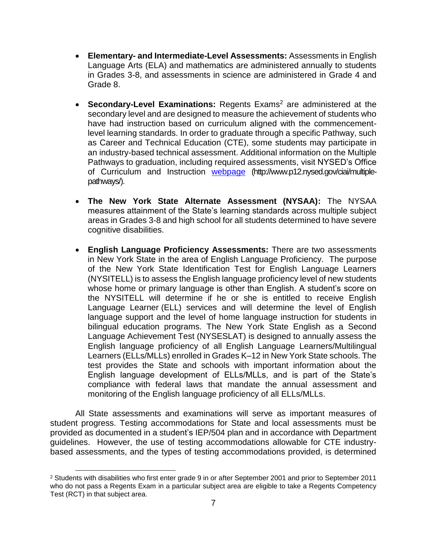- **Elementary- and Intermediate-Level Assessments:** Assessments in English Language Arts (ELA) and mathematics are administered annually to students in Grades 3-8, and assessments in science are administered in Grade 4 and Grade 8.
- **Secondary-Level Examinations:** Regents Exams<sup>2</sup> are administered at the secondary level and are designed to measure the achievement of students who have had instruction based on curriculum aligned with the commencementlevel learning standards. In order to graduate through a specific Pathway, such as Career and Technical Education (CTE), some students may participate in an industry-based technical assessment. Additional information on the Multiple Pathways to graduation, including required assessments, visit NYSED's Office of Curriculum and Instruction [webpage](http://www.p12.nysed.gov/ciai/multiple-pathways/) (http://www.p12.nysed.gov/ciai/multiplepathways/).
- **The New York State Alternate Assessment (NYSAA):** The NYSAA measures attainment of the State's learning standards across multiple subject areas in Grades 3-8 and high school for all students determined to have severe cognitive disabilities.
- **English Language Proficiency Assessments:** There are two assessments in New York State in the area of English Language Proficiency. The purpose of the New York State Identification Test for English Language Learners (NYSITELL) is to assess the English language proficiency level of new students whose home or primary language is other than English. A student's score on the NYSITELL will determine if he or she is entitled to receive English Language Learner (ELL) services and will determine the level of English language support and the level of home language instruction for students in bilingual education programs. The New York State English as a Second Language Achievement Test (NYSESLAT) is designed to annually assess the English language proficiency of all English Language Learners/Multilingual Learners (ELLs/MLLs) enrolled in Grades K–12 in New York State schools. The test provides the State and schools with important information about the English language development of ELLs/MLLs, and is part of the State's compliance with federal laws that mandate the annual assessment and monitoring of the English language proficiency of all ELLs/MLLs.

All State assessments and examinations will serve as important measures of student progress. Testing accommodations for State and local assessments must be provided as documented in a student's IEP/504 plan and in accordance with Department guidelines. However, the use of testing accommodations allowable for CTE industrybased assessments, and the types of testing accommodations provided, is determined

 $\overline{a}$ <sup>2</sup> Students with disabilities who first enter grade 9 in or after September 2001 and prior to September 2011 who do not pass a Regents Exam in a particular subject area are eligible to take a Regents Competency Test (RCT) in that subject area.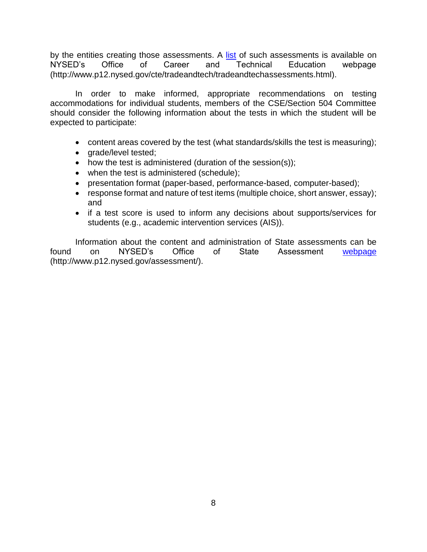by the entities creating those assessments. A [list](http://www.p12.nysed.gov/cte/tradeandtech/tradeandtechassessments.html) of such assessments is available on NYSED's Office of Career and Technical Education webpage (http://www.p12.nysed.gov/cte/tradeandtech/tradeandtechassessments.html).

In order to make informed, appropriate recommendations on testing accommodations for individual students, members of the CSE/Section 504 Committee should consider the following information about the tests in which the student will be expected to participate:

- content areas covered by the test (what standards/skills the test is measuring);
- grade/level tested;
- how the test is administered (duration of the session(s));
- when the test is administered (schedule);
- presentation format (paper-based, performance-based, computer-based);
- response format and nature of test items (multiple choice, short answer, essay); and
- if a test score is used to inform any decisions about supports/services for students (e.g., academic intervention services (AIS)).

Information about the content and administration of State assessments can be found on NYSED's Office of State Assessment [webpage](http://www.p12.nysed.gov/assessment/) (http://www.p12.nysed.gov/assessment/).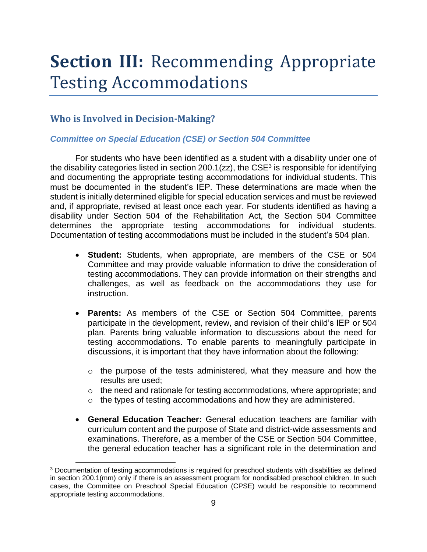## <span id="page-12-0"></span>**Section III:** Recommending Appropriate Testing Accommodations

#### <span id="page-12-1"></span>**Who is Involved in Decision-Making?**

 $\overline{a}$ 

#### *Committee on Special Education (CSE) or Section 504 Committee*

For students who have been identified as a student with a disability under one of the disability categories listed in section 200.1(zz), the  $CSE<sup>3</sup>$  is responsible for identifying and documenting the appropriate testing accommodations for individual students. This must be documented in the student's IEP. These determinations are made when the student is initially determined eligible for special education services and must be reviewed and, if appropriate, revised at least once each year. For students identified as having a disability under Section 504 of the Rehabilitation Act, the Section 504 Committee determines the appropriate testing accommodations for individual students. Documentation of testing accommodations must be included in the student's 504 plan.

- **Student:** Students, when appropriate, are members of the CSE or 504 Committee and may provide valuable information to drive the consideration of testing accommodations. They can provide information on their strengths and challenges, as well as feedback on the accommodations they use for instruction.
- **Parents:** As members of the CSE or Section 504 Committee, parents participate in the development, review, and revision of their child's IEP or 504 plan. Parents bring valuable information to discussions about the need for testing accommodations. To enable parents to meaningfully participate in discussions, it is important that they have information about the following:
	- o the purpose of the tests administered, what they measure and how the results are used;
	- o the need and rationale for testing accommodations, where appropriate; and
	- $\circ$  the types of testing accommodations and how they are administered.
- **General Education Teacher:** General education teachers are familiar with curriculum content and the purpose of State and district-wide assessments and examinations. Therefore, as a member of the CSE or Section 504 Committee, the general education teacher has a significant role in the determination and

<sup>3</sup> Documentation of testing accommodations is required for preschool students with disabilities as defined in section 200.1(mm) only if there is an assessment program for nondisabled preschool children. In such cases, the Committee on Preschool Special Education (CPSE) would be responsible to recommend appropriate testing accommodations.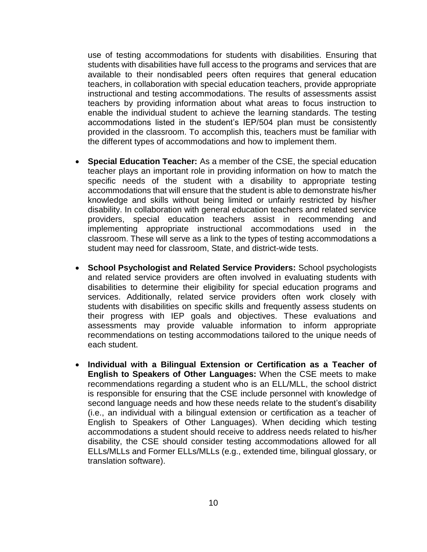use of testing accommodations for students with disabilities. Ensuring that students with disabilities have full access to the programs and services that are available to their nondisabled peers often requires that general education teachers, in collaboration with special education teachers, provide appropriate instructional and testing accommodations. The results of assessments assist teachers by providing information about what areas to focus instruction to enable the individual student to achieve the learning standards. The testing accommodations listed in the student's IEP/504 plan must be consistently provided in the classroom. To accomplish this, teachers must be familiar with the different types of accommodations and how to implement them.

- **Special Education Teacher:** As a member of the CSE, the special education teacher plays an important role in providing information on how to match the specific needs of the student with a disability to appropriate testing accommodations that will ensure that the student is able to demonstrate his/her knowledge and skills without being limited or unfairly restricted by his/her disability. In collaboration with general education teachers and related service providers, special education teachers assist in recommending and implementing appropriate instructional accommodations used in the classroom. These will serve as a link to the types of testing accommodations a student may need for classroom, State, and district-wide tests.
- **School Psychologist and Related Service Providers:** School psychologists and related service providers are often involved in evaluating students with disabilities to determine their eligibility for special education programs and services. Additionally, related service providers often work closely with students with disabilities on specific skills and frequently assess students on their progress with IEP goals and objectives. These evaluations and assessments may provide valuable information to inform appropriate recommendations on testing accommodations tailored to the unique needs of each student.
- **Individual with a Bilingual Extension or Certification as a Teacher of English to Speakers of Other Languages:** When the CSE meets to make recommendations regarding a student who is an ELL/MLL, the school district is responsible for ensuring that the CSE include personnel with knowledge of second language needs and how these needs relate to the student's disability (i.e., an individual with a bilingual extension or certification as a teacher of English to Speakers of Other Languages). When deciding which testing accommodations a student should receive to address needs related to his/her disability, the CSE should consider testing accommodations allowed for all ELLs/MLLs and Former ELLs/MLLs (e.g., extended time, bilingual glossary, or translation software).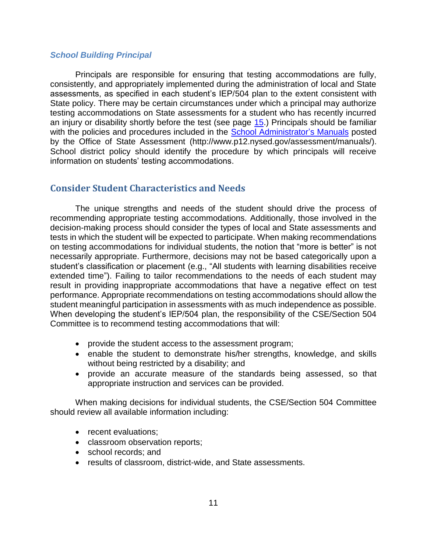#### *School Building Principal*

Principals are responsible for ensuring that testing accommodations are fully, consistently, and appropriately implemented during the administration of local and State assessments, as specified in each student's IEP/504 plan to the extent consistent with State policy. There may be certain circumstances under which a principal may authorize testing accommodations on State assessments for a student who has recently incurred an injury or disability shortly before the test (see page [15.](#page-18-0)) Principals should be familiar with the policies and procedures included in the [School Administrator's Manuals](http://www.p12.nysed.gov/assessment/manuals/) posted by the Office of State Assessment (http://www.p12.nysed.gov/assessment/manuals/). School district policy should identify the procedure by which principals will receive information on students' testing accommodations.

#### <span id="page-14-0"></span>**Consider Student Characteristics and Needs**

The unique strengths and needs of the student should drive the process of recommending appropriate testing accommodations. Additionally, those involved in the decision-making process should consider the types of local and State assessments and tests in which the student will be expected to participate. When making recommendations on testing accommodations for individual students, the notion that "more is better" is not necessarily appropriate. Furthermore, decisions may not be based categorically upon a student's classification or placement (e.g., "All students with learning disabilities receive extended time"). Failing to tailor recommendations to the needs of each student may result in providing inappropriate accommodations that have a negative effect on test performance. Appropriate recommendations on testing accommodations should allow the student meaningful participation in assessments with as much independence as possible. When developing the student's IEP/504 plan, the responsibility of the CSE/Section 504 Committee is to recommend testing accommodations that will:

- provide the student access to the assessment program;
- enable the student to demonstrate his/her strengths, knowledge, and skills without being restricted by a disability; and
- provide an accurate measure of the standards being assessed, so that appropriate instruction and services can be provided.

When making decisions for individual students, the CSE/Section 504 Committee should review all available information including:

- recent evaluations;
- classroom observation reports;
- school records; and
- results of classroom, district-wide, and State assessments.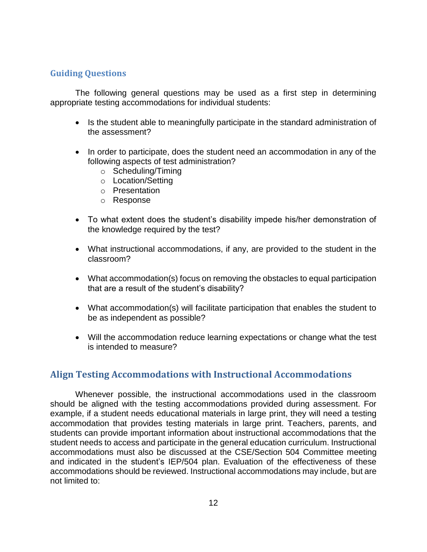#### **Guiding Questions**

The following general questions may be used as a first step in determining appropriate testing accommodations for individual students:

- Is the student able to meaningfully participate in the standard administration of the assessment?
- In order to participate, does the student need an accommodation in any of the following aspects of test administration?
	- o Scheduling/Timing
	- o Location/Setting
	- o Presentation
	- o Response
- To what extent does the student's disability impede his/her demonstration of the knowledge required by the test?
- What instructional accommodations, if any, are provided to the student in the classroom?
- What accommodation(s) focus on removing the obstacles to equal participation that are a result of the student's disability?
- What accommodation(s) will facilitate participation that enables the student to be as independent as possible?
- Will the accommodation reduce learning expectations or change what the test is intended to measure?

#### <span id="page-15-0"></span>**Align Testing Accommodations with Instructional Accommodations**

Whenever possible, the instructional accommodations used in the classroom should be aligned with the testing accommodations provided during assessment. For example, if a student needs educational materials in large print, they will need a testing accommodation that provides testing materials in large print. Teachers, parents, and students can provide important information about instructional accommodations that the student needs to access and participate in the general education curriculum. Instructional accommodations must also be discussed at the CSE/Section 504 Committee meeting and indicated in the student's IEP/504 plan. Evaluation of the effectiveness of these accommodations should be reviewed. Instructional accommodations may include, but are not limited to: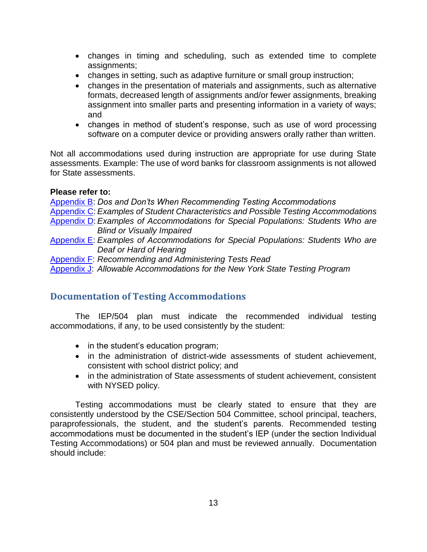- changes in timing and scheduling, such as extended time to complete assignments;
- changes in setting, such as adaptive furniture or small group instruction;
- changes in the presentation of materials and assignments, such as alternative formats, decreased length of assignments and/or fewer assignments, breaking assignment into smaller parts and presenting information in a variety of ways; and
- changes in method of student's response, such as use of word processing software on a computer device or providing answers orally rather than written.

Not all accommodations used during instruction are appropriate for use during State assessments. Example: The use of word banks for classroom assignments is not allowed for State assessments.

#### **Please refer to:**

[Appendix B:](#page-40-0) *Dos and Don'ts When Recommending Testing Accommodations* [Appendix](#page-41-0) C: *Examples of Student Characteristics and Possible Testing Accommodations* [Appendix D:](#page-45-0) *Examples of Accommodations for Special Populations: Students Who are Blind or Visually Impaired* [Appendix E:](#page-48-0) *Examples of Accommodations for Special Populations: Students Who are Deaf or Hard of Hearing* [Appendix F:](#page-50-0) *Recommending and Administering Tests Read* [Appendix J:](#page-67-0) *Allowable Accommodations for the New York State Testing Program*

#### <span id="page-16-0"></span>**Documentation of Testing Accommodations**

The IEP/504 plan must indicate the recommended individual testing accommodations, if any, to be used consistently by the student:

- in the student's education program;
- in the administration of district-wide assessments of student achievement, consistent with school district policy; and
- in the administration of State assessments of student achievement, consistent with NYSED policy.

Testing accommodations must be clearly stated to ensure that they are consistently understood by the CSE/Section 504 Committee, school principal, teachers, paraprofessionals, the student, and the student's parents. Recommended testing accommodations must be documented in the student's IEP (under the section Individual Testing Accommodations) or 504 plan and must be reviewed annually. Documentation should include: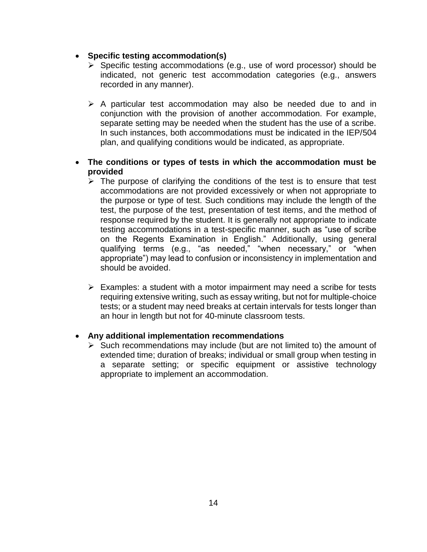- **Specific testing accommodation(s)**
	- ➢ Specific testing accommodations (e.g., use of word processor) should be indicated, not generic test accommodation categories (e.g., answers recorded in any manner).
	- ➢ A particular test accommodation may also be needed due to and in conjunction with the provision of another accommodation. For example, separate setting may be needed when the student has the use of a scribe. In such instances, both accommodations must be indicated in the IEP/504 plan, and qualifying conditions would be indicated, as appropriate.
- **The conditions or types of tests in which the accommodation must be provided**
	- $\triangleright$  The purpose of clarifying the conditions of the test is to ensure that test accommodations are not provided excessively or when not appropriate to the purpose or type of test. Such conditions may include the length of the test, the purpose of the test, presentation of test items, and the method of response required by the student. It is generally not appropriate to indicate testing accommodations in a test-specific manner, such as "use of scribe on the Regents Examination in English." Additionally, using general qualifying terms (e.g., "as needed," "when necessary," or "when appropriate") may lead to confusion or inconsistency in implementation and should be avoided.
	- ➢ Examples: a student with a motor impairment may need a scribe for tests requiring extensive writing, such as essay writing, but not for multiple-choice tests; or a student may need breaks at certain intervals for tests longer than an hour in length but not for 40-minute classroom tests.

#### • **Any additional implementation recommendations**

➢ Such recommendations may include (but are not limited to) the amount of extended time; duration of breaks; individual or small group when testing in a separate setting; or specific equipment or assistive technology appropriate to implement an accommodation.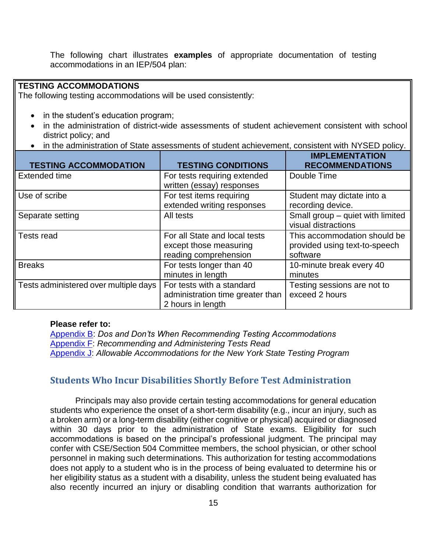The following chart illustrates **examples** of appropriate documentation of testing accommodations in an IEP/504 plan:

#### **TESTING ACCOMMODATIONS**

The following testing accommodations will be used consistently:

- in the student's education program;
- in the administration of district-wide assessments of student achievement consistent with school district policy; and
- in the administration of State assessments of student achievement, consistent with NYSED policy.

| <b>TESTING ACCOMMODATION</b>          | <b>TESTING CONDITIONS</b>                                                          | <b>IMPLEMENTATION</b><br><b>RECOMMENDATIONS</b>                           |
|---------------------------------------|------------------------------------------------------------------------------------|---------------------------------------------------------------------------|
| Extended time                         | For tests requiring extended<br>written (essay) responses                          | Double Time                                                               |
| Use of scribe                         | For test items requiring<br>extended writing responses                             | Student may dictate into a<br>recording device.                           |
| Separate setting                      | All tests                                                                          | Small group - quiet with limited<br>visual distractions                   |
| Tests read                            | For all State and local tests<br>except those measuring<br>reading comprehension   | This accommodation should be<br>provided using text-to-speech<br>software |
| <b>Breaks</b>                         | For tests longer than 40<br>minutes in length                                      | 10-minute break every 40<br>minutes                                       |
| Tests administered over multiple days | For tests with a standard<br>administration time greater than<br>2 hours in length | Testing sessions are not to<br>exceed 2 hours                             |

#### **Please refer to:**

[Appendix B:](#page-40-0) *Dos and Don'ts When Recommending Testing Accommodations* [Appendix F:](#page-50-0) *Recommending and Administering Tests Read* [Appendix J:](#page-67-0) *Allowable Accommodations for the New York State Testing Program*

#### <span id="page-18-0"></span>**Students Who Incur Disabilities Shortly Before Test Administration**

Principals may also provide certain testing accommodations for general education students who experience the onset of a short-term disability (e.g., incur an injury, such as a broken arm) or a long-term disability (either cognitive or physical) acquired or diagnosed within 30 days prior to the administration of State exams. Eligibility for such accommodations is based on the principal's professional judgment. The principal may confer with CSE/Section 504 Committee members, the school physician, or other school personnel in making such determinations. This authorization for testing accommodations does not apply to a student who is in the process of being evaluated to determine his or her eligibility status as a student with a disability, unless the student being evaluated has also recently incurred an injury or disabling condition that warrants authorization for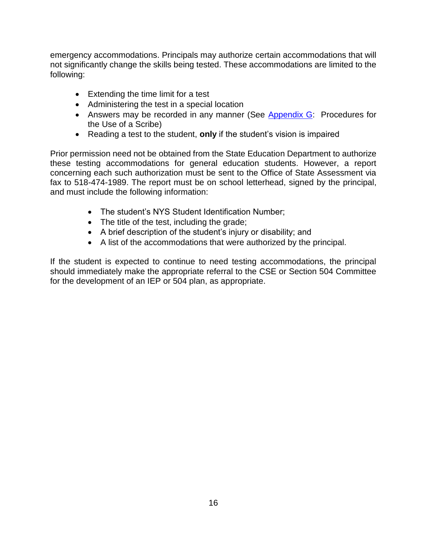emergency accommodations. Principals may authorize certain accommodations that will not significantly change the skills being tested. These accommodations are limited to the following:

- Extending the time limit for a test
- Administering the test in a special location
- Answers may be recorded in any manner (See [Appendix G:](#page-57-0) Procedures for the Use of a Scribe)
- Reading a test to the student, **only** if the student's vision is impaired

Prior permission need not be obtained from the State Education Department to authorize these testing accommodations for general education students. However, a report concerning each such authorization must be sent to the Office of State Assessment via fax to 518-474-1989. The report must be on school letterhead, signed by the principal, and must include the following information:

- The student's NYS Student Identification Number;
- The title of the test, including the grade;
- A brief description of the student's injury or disability; and
- A list of the accommodations that were authorized by the principal.

If the student is expected to continue to need testing accommodations, the principal should immediately make the appropriate referral to the CSE or Section 504 Committee for the development of an IEP or 504 plan, as appropriate.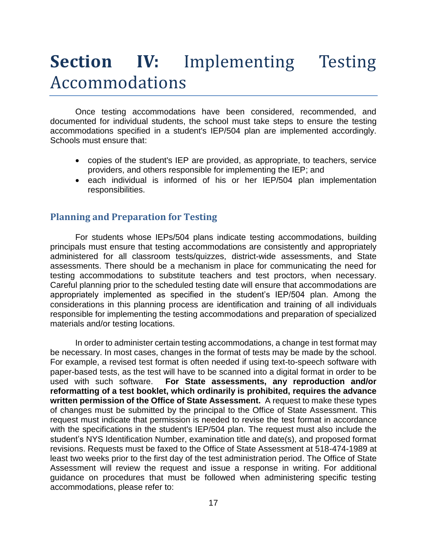## <span id="page-20-0"></span>**Section IV:** Implementing Testing Accommodations

Once testing accommodations have been considered, recommended, and documented for individual students, the school must take steps to ensure the testing accommodations specified in a student's IEP/504 plan are implemented accordingly. Schools must ensure that:

- copies of the student's IEP are provided, as appropriate, to teachers, service providers, and others responsible for implementing the IEP; and
- each individual is informed of his or her IEP/504 plan implementation responsibilities.

#### <span id="page-20-1"></span>**Planning and Preparation for Testing**

For students whose IEPs/504 plans indicate testing accommodations, building principals must ensure that testing accommodations are consistently and appropriately administered for all classroom tests/quizzes, district-wide assessments, and State assessments. There should be a mechanism in place for communicating the need for testing accommodations to substitute teachers and test proctors, when necessary. Careful planning prior to the scheduled testing date will ensure that accommodations are appropriately implemented as specified in the student's IEP/504 plan. Among the considerations in this planning process are identification and training of all individuals responsible for implementing the testing accommodations and preparation of specialized materials and/or testing locations.

In order to administer certain testing accommodations, a change in test format may be necessary. In most cases, changes in the format of tests may be made by the school. For example, a revised test format is often needed if using text-to-speech software with paper-based tests, as the test will have to be scanned into a digital format in order to be used with such software. **For State assessments, any reproduction and/or reformatting of a test booklet, which ordinarily is prohibited, requires the advance written permission of the Office of State Assessment.** A request to make these types of changes must be submitted by the principal to the Office of State Assessment. This request must indicate that permission is needed to revise the test format in accordance with the specifications in the student's IEP/504 plan. The request must also include the student's NYS Identification Number, examination title and date(s), and proposed format revisions. Requests must be faxed to the Office of State Assessment at 518-474-1989 at least two weeks prior to the first day of the test administration period. The Office of State Assessment will review the request and issue a response in writing. For additional guidance on procedures that must be followed when administering specific testing accommodations, please refer to: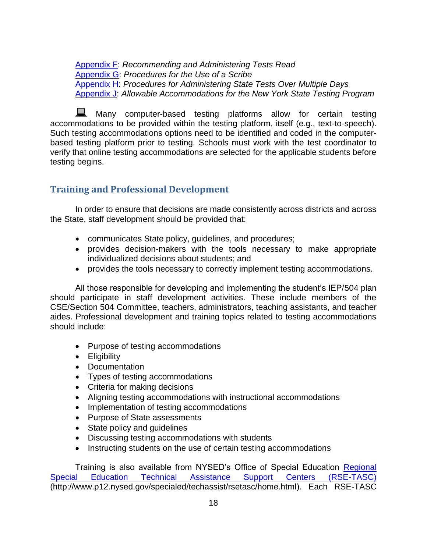[Appendix F:](#page-50-0) *Recommending and Administering Tests Read* [Appendix G:](#page-57-0) *Procedures for the Use of a Scribe* [Appendix H:](#page-59-0) *Procedures for Administering State Tests Over Multiple Days* [Appendix J:](#page-67-0) *Allowable Accommodations for the New York State Testing Program*

Many computer-based testing platforms allow for certain testing accommodations to be provided within the testing platform, itself (e.g., text-to-speech). Such testing accommodations options need to be identified and coded in the computerbased testing platform prior to testing. Schools must work with the test coordinator to verify that online testing accommodations are selected for the applicable students before testing begins.

#### <span id="page-21-0"></span>**Training and Professional Development**

In order to ensure that decisions are made consistently across districts and across the State, staff development should be provided that:

- communicates State policy, guidelines, and procedures;
- provides decision-makers with the tools necessary to make appropriate individualized decisions about students; and
- provides the tools necessary to correctly implement testing accommodations.

All those responsible for developing and implementing the student's IEP/504 plan should participate in staff development activities. These include members of the CSE/Section 504 Committee, teachers, administrators, teaching assistants, and teacher aides. Professional development and training topics related to testing accommodations should include:

- Purpose of testing accommodations
- Eligibility
- Documentation
- Types of testing accommodations
- Criteria for making decisions
- Aligning testing accommodations with instructional accommodations
- Implementation of testing accommodations
- Purpose of State assessments
- State policy and quidelines
- Discussing testing accommodations with students
- Instructing students on the use of certain testing accommodations

Training is also available from NYSED's Office of Special Education Regional [Special Education Technical Assistance Support Centers \(RSE-TASC\)](http://www.p12.nysed.gov/specialed/techassist/rsetasc/home.html) (http://www.p12.nysed.gov/specialed/techassist/rsetasc/home.html). Each RSE-TASC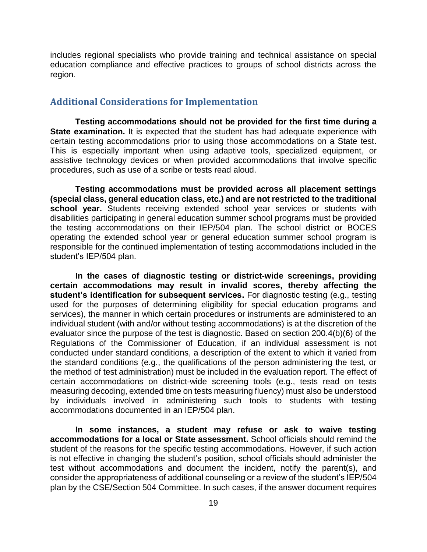includes regional specialists who provide training and technical assistance on special education compliance and effective practices to groups of school districts across the region.

#### <span id="page-22-0"></span>**Additional Considerations for Implementation**

**Testing accommodations should not be provided for the first time during a State examination.** It is expected that the student has had adequate experience with certain testing accommodations prior to using those accommodations on a State test. This is especially important when using adaptive tools, specialized equipment, or assistive technology devices or when provided accommodations that involve specific procedures, such as use of a scribe or tests read aloud.

**Testing accommodations must be provided across all placement settings (special class, general education class, etc.) and are not restricted to the traditional school year.** Students receiving extended school year services or students with disabilities participating in general education summer school programs must be provided the testing accommodations on their IEP/504 plan. The school district or BOCES operating the extended school year or general education summer school program is responsible for the continued implementation of testing accommodations included in the student's IEP/504 plan.

**In the cases of diagnostic testing or district-wide screenings, providing certain accommodations may result in invalid scores, thereby affecting the student's identification for subsequent services.** For diagnostic testing (e.g., testing used for the purposes of determining eligibility for special education programs and services), the manner in which certain procedures or instruments are administered to an individual student (with and/or without testing accommodations) is at the discretion of the evaluator since the purpose of the test is diagnostic. Based on section 200.4(b)(6) of the Regulations of the Commissioner of Education, if an individual assessment is not conducted under standard conditions, a description of the extent to which it varied from the standard conditions (e.g., the qualifications of the person administering the test, or the method of test administration) must be included in the evaluation report. The effect of certain accommodations on district-wide screening tools (e.g., tests read on tests measuring decoding, extended time on tests measuring fluency) must also be understood by individuals involved in administering such tools to students with testing accommodations documented in an IEP/504 plan.

**In some instances, a student may refuse or ask to waive testing accommodations for a local or State assessment.** School officials should remind the student of the reasons for the specific testing accommodations. However, if such action is not effective in changing the student's position, school officials should administer the test without accommodations and document the incident, notify the parent(s), and consider the appropriateness of additional counseling or a review of the student's IEP/504 plan by the CSE/Section 504 Committee. In such cases, if the answer document requires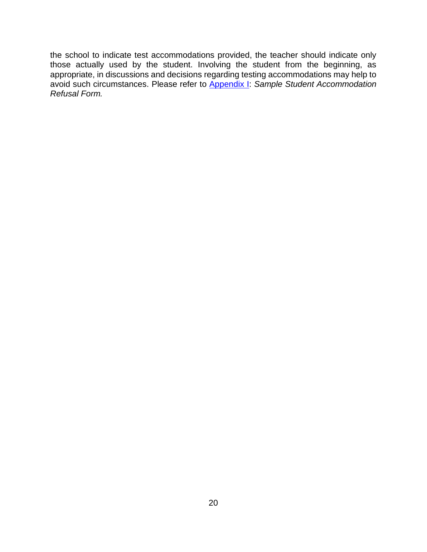the school to indicate test accommodations provided, the teacher should indicate only those actually used by the student. Involving the student from the beginning, as appropriate, in discussions and decisions regarding testing accommodations may help to avoid such circumstances. Please refer to [Appendix I:](#page-66-0) *Sample Student Accommodation Refusal Form.*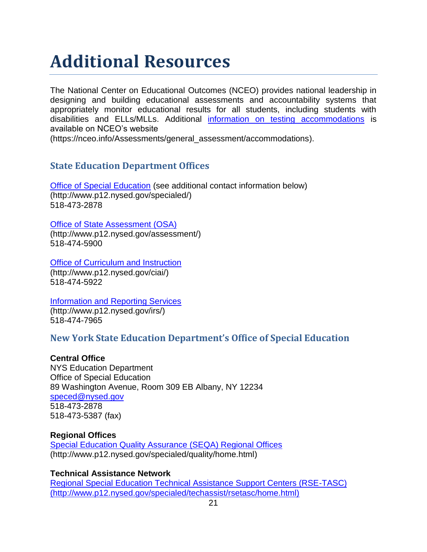## <span id="page-24-0"></span>**Additional Resources**

The National Center on Educational Outcomes (NCEO) provides national leadership in designing and building educational assessments and accountability systems that appropriately monitor educational results for all students, including students with disabilities and ELLs/MLLs. Additional [information on testing accommodations](https://nceo.info/Assessments/general_assessment/accommodations) is available on NCEO's website

(https://nceo.info/Assessments/general\_assessment/accommodations).

#### **State Education Department Offices**

[Office of Special Education](http://www.p12.nysed.gov/specialed/) (see additional contact information below) (http://www.p12.nysed.gov/specialed/) 518-473-2878

[Office of State Assessment \(OSA\)](http://www.p12.nysed.gov/assessment/)

(http://www.p12.nysed.gov/assessment/) 518-474-5900

[Office of Curriculum and Instruction](http://www.p12.nysed.gov/ciai/) (http://www.p12.nysed.gov/ciai/) 518-474-5922

[Information and Reporting Services](http://www.p12.nysed.gov/irs/) (http://www.p12.nysed.gov/irs/) 518-474-7965

#### **New York State Education Department's Office of Special Education**

#### **Central Office**

NYS Education Department Office of Special Education 89 Washington Avenue, Room 309 EB Albany, NY 12234 [speced@nysed.gov](mailto:speced@nysed.gov) 518-473-2878 518-473-5387 (fax)

#### **Regional Offices**

[Special Education Quality Assurance \(SEQA\) Regional Offices](http://www.p12.nysed.gov/specialed/quality/home.html) (http://www.p12.nysed.gov/specialed/quality/home.html)

#### **Technical Assistance Network**

[Regional Special Education Technical Assistance Support Centers \(RSE-TASC\)](http://www.p12.nysed.gov/specialed/techassist/rsetasc/home.html) (http://www.p12.nysed.gov/specialed/techassist/rsetasc/home.html)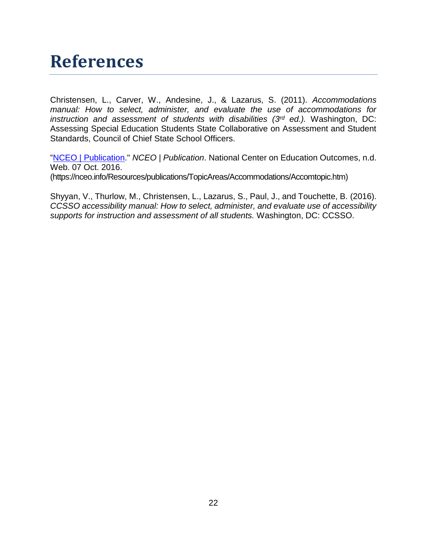## <span id="page-25-0"></span>**References**

Christensen, L., Carver, W., Andesine, J., & Lazarus, S. (2011). *Accommodations manual: How to select, administer, and evaluate the use of accommodations for instruction and assessment of students with disabilities (3rd ed.).* Washington, DC: Assessing Special Education Students State Collaborative on Assessment and Student Standards, Council of Chief State School Officers.

["NCEO | Publication.](https://nceo.info/Resources/publications/TopicAreas/Accommodations/Accomtopic.htm)" *NCEO | Publication*. National Center on Education Outcomes, n.d. Web. 07 Oct. 2016. (https://nceo.info/Resources/publications/TopicAreas/Accommodations/Accomtopic.htm)

Shyyan, V., Thurlow, M., Christensen, L., Lazarus, S., Paul, J., and Touchette, B. (2016). *CCSSO accessibility manual: How to select, administer, and evaluate use of accessibility supports for instruction and assessment of all students.* Washington, DC: CCSSO.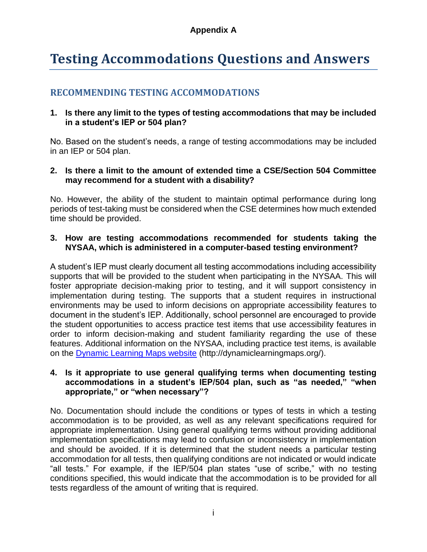### <span id="page-26-0"></span>**Testing Accommodations Questions and Answers**

#### **RECOMMENDING TESTING ACCOMMODATIONS**

#### **1. Is there any limit to the types of testing accommodations that may be included in a student's IEP or 504 plan?**

No. Based on the student's needs, a range of testing accommodations may be included in an IEP or 504 plan.

#### **2. Is there a limit to the amount of extended time a CSE/Section 504 Committee may recommend for a student with a disability?**

No. However, the ability of the student to maintain optimal performance during long periods of test-taking must be considered when the CSE determines how much extended time should be provided.

#### **3. How are testing accommodations recommended for students taking the NYSAA, which is administered in a computer-based testing environment?**

A student's IEP must clearly document all testing accommodations including accessibility supports that will be provided to the student when participating in the NYSAA. This will foster appropriate decision-making prior to testing, and it will support consistency in implementation during testing. The supports that a student requires in instructional environments may be used to inform decisions on appropriate accessibility features to document in the student's IEP. Additionally, school personnel are encouraged to provide the student opportunities to access practice test items that use accessibility features in order to inform decision-making and student familiarity regarding the use of these features. Additional information on the NYSAA, including practice test items, is available on the [Dynamic Learning Maps website](http://dynamiclearningmaps.org/) (http://dynamiclearningmaps.org/).

#### **4. Is it appropriate to use general qualifying terms when documenting testing accommodations in a student's IEP/504 plan, such as "as needed," "when appropriate," or "when necessary"?**

No. Documentation should include the conditions or types of tests in which a testing accommodation is to be provided, as well as any relevant specifications required for appropriate implementation. Using general qualifying terms without providing additional implementation specifications may lead to confusion or inconsistency in implementation and should be avoided. If it is determined that the student needs a particular testing accommodation for all tests, then qualifying conditions are not indicated or would indicate "all tests." For example, if the IEP/504 plan states "use of scribe," with no testing conditions specified, this would indicate that the accommodation is to be provided for all tests regardless of the amount of writing that is required.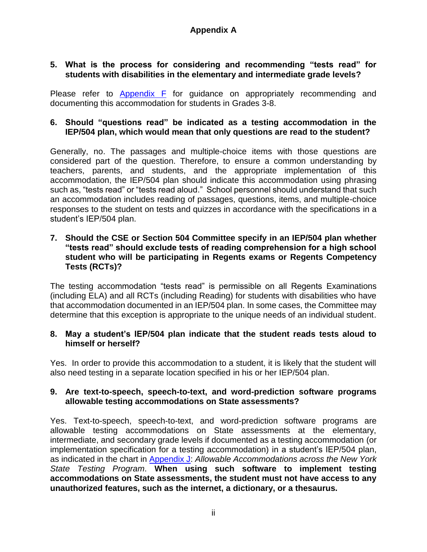#### **5. What is the process for considering and recommending "tests read" for students with disabilities in the elementary and intermediate grade levels?**

Please refer to [Appendix F](#page-50-0) for guidance on appropriately recommending and documenting this accommodation for students in Grades 3-8.

#### **6. Should "questions read" be indicated as a testing accommodation in the IEP/504 plan, which would mean that only questions are read to the student?**

Generally, no. The passages and multiple-choice items with those questions are considered part of the question. Therefore, to ensure a common understanding by teachers, parents, and students, and the appropriate implementation of this accommodation, the IEP/504 plan should indicate this accommodation using phrasing such as, "tests read" or "tests read aloud." School personnel should understand that such an accommodation includes reading of passages, questions, items, and multiple-choice responses to the student on tests and quizzes in accordance with the specifications in a student's IEP/504 plan.

#### **7. Should the CSE or Section 504 Committee specify in an IEP/504 plan whether "tests read" should exclude tests of reading comprehension for a high school student who will be participating in Regents exams or Regents Competency Tests (RCTs)?**

The testing accommodation "tests read" is permissible on all Regents Examinations (including ELA) and all RCTs (including Reading) for students with disabilities who have that accommodation documented in an IEP/504 plan. In some cases, the Committee may determine that this exception is appropriate to the unique needs of an individual student.

#### **8. May a student's IEP/504 plan indicate that the student reads tests aloud to himself or herself?**

Yes. In order to provide this accommodation to a student, it is likely that the student will also need testing in a separate location specified in his or her IEP/504 plan.

#### **9. Are text-to-speech, speech-to-text, and word-prediction software programs allowable testing accommodations on State assessments?**

Yes. Text-to-speech, speech-to-text, and word-prediction software programs are allowable testing accommodations on State assessments at the elementary, intermediate, and secondary grade levels if documented as a testing accommodation (or implementation specification for a testing accommodation) in a student's IEP/504 plan, as indicated in the chart in [Appendix J:](#page-67-0) *Allowable Accommodations across the New York State Testing Program*. **When using such software to implement testing accommodations on State assessments, the student must not have access to any unauthorized features, such as the internet, a dictionary, or a thesaurus.**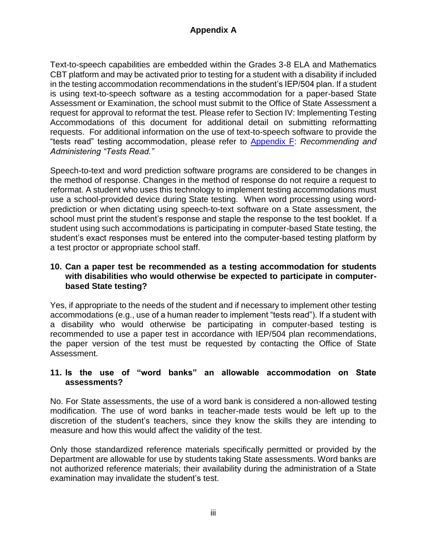Text-to-speech capabilities are embedded within the Grades 3-8 ELA and Mathematics CBT platform and may be activated prior to testing for a student with a disability if included in the testing accommodation recommendations in the student's IEP/504 plan. If a student is using text-to-speech software as a testing accommodation for a paper-based State Assessment or Examination, the school must submit to the Office of State Assessment a request for approval to reformat the test. Please refer to Section IV: Implementing Testing Accommodations of this document for additional detail on submitting reformatting requests. For additional information on the use of text-to-speech software to provide the "tests read" testing accommodation, please refer to [Appendix F:](#page-50-0) *Recommending and Administering "Tests Read."*

Speech-to-text and word prediction software programs are considered to be changes in the method of response. Changes in the method of response do not require a request to reformat. A student who uses this technology to implement testing accommodations must use a school-provided device during State testing. When word processing using wordprediction or when dictating using speech-to-text software on a State assessment, the school must print the student's response and staple the response to the test booklet. If a student using such accommodations is participating in computer-based State testing, the student's exact responses must be entered into the computer-based testing platform by a test proctor or appropriate school staff.

#### **10. Can a paper test be recommended as a testing accommodation for students with disabilities who would otherwise be expected to participate in computerbased State testing?**

Yes, if appropriate to the needs of the student and if necessary to implement other testing accommodations (e.g., use of a human reader to implement "tests read"). If a student with a disability who would otherwise be participating in computer-based testing is recommended to use a paper test in accordance with IEP/504 plan recommendations, the paper version of the test must be requested by contacting the Office of State Assessment.

#### **11. Is the use of "word banks" an allowable accommodation on State assessments?**

No. For State assessments, the use of a word bank is considered a non-allowed testing modification. The use of word banks in teacher-made tests would be left up to the discretion of the student's teachers, since they know the skills they are intending to measure and how this would affect the validity of the test.

Only those standardized reference materials specifically permitted or provided by the Department are allowable for use by students taking State assessments. Word banks are not authorized reference materials; their availability during the administration of a State examination may invalidate the student's test.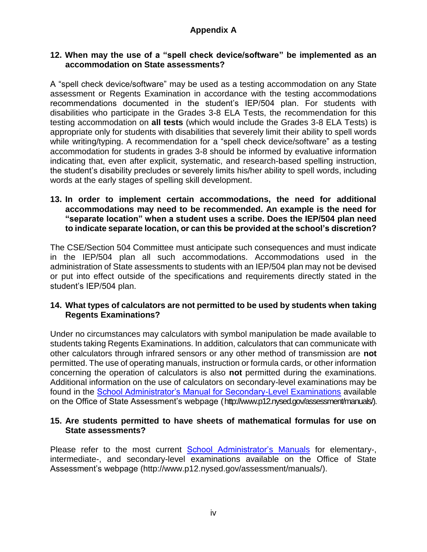#### **12. When may the use of a "spell check device/software" be implemented as an accommodation on State assessments?**

A "spell check device/software" may be used as a testing accommodation on any State assessment or Regents Examination in accordance with the testing accommodations recommendations documented in the student's IEP/504 plan. For students with disabilities who participate in the Grades 3-8 ELA Tests, the recommendation for this testing accommodation on **all tests** (which would include the Grades 3-8 ELA Tests) is appropriate only for students with disabilities that severely limit their ability to spell words while writing/typing. A recommendation for a "spell check device/software" as a testing accommodation for students in grades 3-8 should be informed by evaluative information indicating that, even after explicit, systematic, and research-based spelling instruction, the student's disability precludes or severely limits his/her ability to spell words, including words at the early stages of spelling skill development.

#### **13. In order to implement certain accommodations, the need for additional accommodations may need to be recommended. An example is the need for "separate location" when a student uses a scribe. Does the IEP/504 plan need to indicate separate location, or can this be provided at the school's discretion?**

The CSE/Section 504 Committee must anticipate such consequences and must indicate in the IEP/504 plan all such accommodations. Accommodations used in the administration of State assessments to students with an IEP/504 plan may not be devised or put into effect outside of the specifications and requirements directly stated in the student's IEP/504 plan.

#### **14. What types of calculators are not permitted to be used by students when taking Regents Examinations?**

Under no circumstances may calculators with symbol manipulation be made available to students taking Regents Examinations. In addition, calculators that can communicate with other calculators through infrared sensors or any other method of transmission are **not**  permitted. The use of operating manuals, instruction or formula cards, or other information concerning the operation of calculators is also **not** permitted during the examinations. Additional information on the use of calculators on secondary-level examinations may be found in the [School Administrator's Manual for Secondary-Level Examinations](http://www.p12.nysed.gov/assessment/manuals/) available on the Office of State Assessment's webpage (http://www.p12.nysed.gov/assessment/manuals/).

#### **15. Are students permitted to have sheets of mathematical formulas for use on State assessments?**

Please refer to the most current [School Administrator's Manuals](http://www.p12.nysed.gov/assessment/manuals/) for elementary-, intermediate-, and secondary-level examinations available on the Office of State Assessment's webpage (http://www.p12.nysed.gov/assessment/manuals/).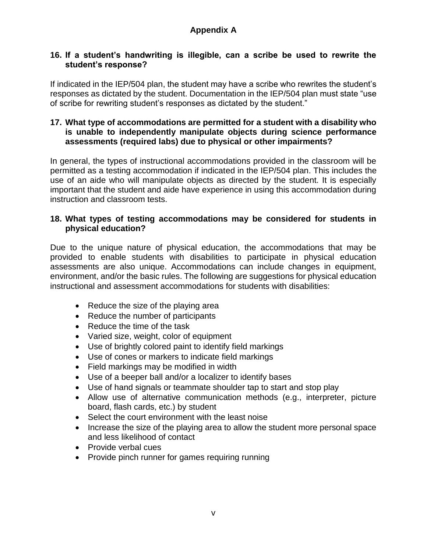#### **16. If a student's handwriting is illegible, can a scribe be used to rewrite the student's response?**

If indicated in the IEP/504 plan, the student may have a scribe who rewrites the student's responses as dictated by the student. Documentation in the IEP/504 plan must state "use of scribe for rewriting student's responses as dictated by the student."

#### **17. What type of accommodations are permitted for a student with a disability who is unable to independently manipulate objects during science performance assessments (required labs) due to physical or other impairments?**

In general, the types of instructional accommodations provided in the classroom will be permitted as a testing accommodation if indicated in the IEP/504 plan. This includes the use of an aide who will manipulate objects as directed by the student. It is especially important that the student and aide have experience in using this accommodation during instruction and classroom tests.

#### **18. What types of testing accommodations may be considered for students in physical education?**

Due to the unique nature of physical education, the accommodations that may be provided to enable students with disabilities to participate in physical education assessments are also unique. Accommodations can include changes in equipment, environment, and/or the basic rules. The following are suggestions for physical education instructional and assessment accommodations for students with disabilities:

- Reduce the size of the playing area
- Reduce the number of participants
- Reduce the time of the task
- Varied size, weight, color of equipment
- Use of brightly colored paint to identify field markings
- Use of cones or markers to indicate field markings
- Field markings may be modified in width
- Use of a beeper ball and/or a localizer to identify bases
- Use of hand signals or teammate shoulder tap to start and stop play
- Allow use of alternative communication methods (e.g., interpreter, picture board, flash cards, etc.) by student
- Select the court environment with the least noise
- Increase the size of the playing area to allow the student more personal space and less likelihood of contact
- Provide verbal cues
- Provide pinch runner for games requiring running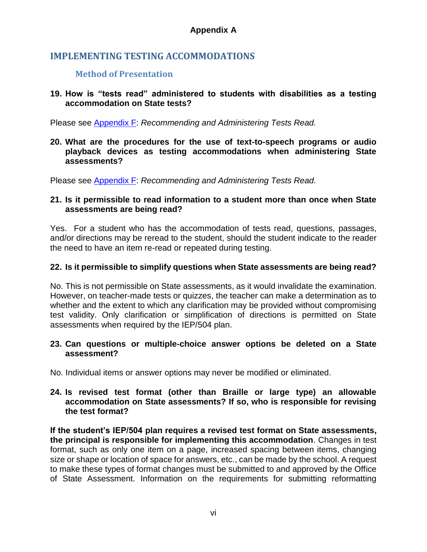#### **IMPLEMENTING TESTING ACCOMMODATIONS**

#### **Method of Presentation**

#### **19. How is "tests read" administered to students with disabilities as a testing accommodation on State tests?**

Please see [Appendix F:](#page-50-0) *Recommending and Administering Tests Read.*

**20. What are the procedures for the use of text-to-speech programs or audio playback devices as testing accommodations when administering State assessments?** 

Please see [Appendix F:](#page-50-0) *Recommending and Administering Tests Read.*

#### **21. Is it permissible to read information to a student more than once when State assessments are being read?**

Yes. For a student who has the accommodation of tests read, questions, passages, and/or directions may be reread to the student, should the student indicate to the reader the need to have an item re-read or repeated during testing.

#### **22. Is it permissible to simplify questions when State assessments are being read?**

No. This is not permissible on State assessments, as it would invalidate the examination. However, on teacher-made tests or quizzes, the teacher can make a determination as to whether and the extent to which any clarification may be provided without compromising test validity. Only clarification or simplification of directions is permitted on State assessments when required by the IEP/504 plan.

#### **23. Can questions or multiple-choice answer options be deleted on a State assessment?**

No. Individual items or answer options may never be modified or eliminated.

**24. Is revised test format (other than Braille or large type) an allowable accommodation on State assessments? If so, who is responsible for revising the test format?** 

**If the student's IEP/504 plan requires a revised test format on State assessments, the principal is responsible for implementing this accommodation**. Changes in test format, such as only one item on a page, increased spacing between items, changing size or shape or location of space for answers, etc., can be made by the school. A request to make these types of format changes must be submitted to and approved by the Office of State Assessment. Information on the requirements for submitting reformatting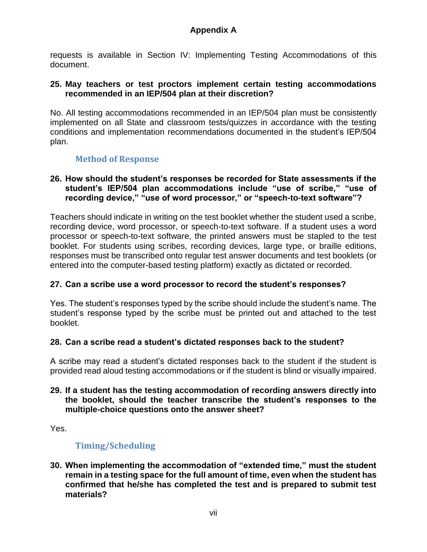requests is available in Section IV: Implementing Testing Accommodations of this document.

#### **25. May teachers or test proctors implement certain testing accommodations recommended in an IEP/504 plan at their discretion?**

No. All testing accommodations recommended in an IEP/504 plan must be consistently implemented on all State and classroom tests/quizzes in accordance with the testing conditions and implementation recommendations documented in the student's IEP/504 plan.

#### **Method of Response**

#### **26. How should the student's responses be recorded for State assessments if the student's IEP/504 plan accommodations include "use of scribe," "use of recording device," "use of word processor," or "speech-to-text software"?**

Teachers should indicate in writing on the test booklet whether the student used a scribe, recording device, word processor, or speech-to-text software. If a student uses a word processor or speech-to-text software, the printed answers must be stapled to the test booklet. For students using scribes, recording devices, large type, or braille editions, responses must be transcribed onto regular test answer documents and test booklets (or entered into the computer-based testing platform) exactly as dictated or recorded.

#### **27. Can a scribe use a word processor to record the student's responses?**

Yes. The student's responses typed by the scribe should include the student's name. The student's response typed by the scribe must be printed out and attached to the test booklet.

#### **28. Can a scribe read a student's dictated responses back to the student?**

A scribe may read a student's dictated responses back to the student if the student is provided read aloud testing accommodations or if the student is blind or visually impaired.

#### **29. If a student has the testing accommodation of recording answers directly into the booklet, should the teacher transcribe the student's responses to the multiple-choice questions onto the answer sheet?**

Yes.

#### **Timing/Scheduling**

**30. When implementing the accommodation of "extended time," must the student remain in a testing space for the full amount of time, even when the student has confirmed that he/she has completed the test and is prepared to submit test materials?**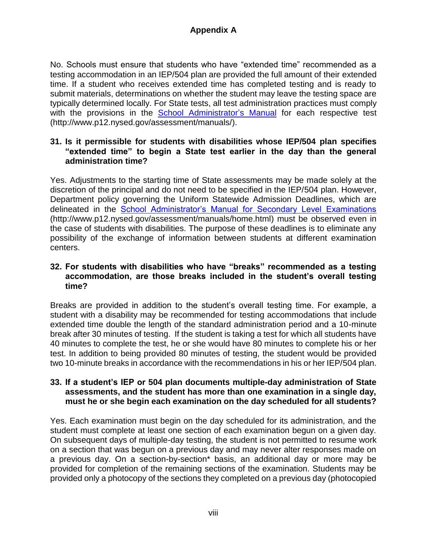No. Schools must ensure that students who have "extended time" recommended as a testing accommodation in an IEP/504 plan are provided the full amount of their extended time. If a student who receives extended time has completed testing and is ready to submit materials, determinations on whether the student may leave the testing space are typically determined locally. For State tests, all test administration practices must comply with the provisions in the [School Administrator's Manual](http://www.p12.nysed.gov/assessment/manuals/) for each respective test (http://www.p12.nysed.gov/assessment/manuals/).

#### **31. Is it permissible for students with disabilities whose IEP/504 plan specifies "extended time" to begin a State test earlier in the day than the general administration time?**

Yes. Adjustments to the starting time of State assessments may be made solely at the discretion of the principal and do not need to be specified in the IEP/504 plan. However, Department policy governing the Uniform Statewide Admission Deadlines, which are delineated in the [School Administrator's Manual for Secondary Level Examinations](http://www.p12.nysed.gov/assessment/manuals/home.html) (http://www.p12.nysed.gov/assessment/manuals/home.html) must be observed even in the case of students with disabilities. The purpose of these deadlines is to eliminate any possibility of the exchange of information between students at different examination centers.

#### **32. For students with disabilities who have "breaks" recommended as a testing accommodation, are those breaks included in the student's overall testing time?**

Breaks are provided in addition to the student's overall testing time. For example, a student with a disability may be recommended for testing accommodations that include extended time double the length of the standard administration period and a 10-minute break after 30 minutes of testing. If the student is taking a test for which all students have 40 minutes to complete the test, he or she would have 80 minutes to complete his or her test. In addition to being provided 80 minutes of testing, the student would be provided two 10-minute breaks in accordance with the recommendations in his or her IEP/504 plan.

#### **33. If a student's IEP or 504 plan documents multiple-day administration of State assessments, and the student has more than one examination in a single day, must he or she begin each examination on the day scheduled for all students?**

Yes. Each examination must begin on the day scheduled for its administration, and the student must complete at least one section of each examination begun on a given day. On subsequent days of multiple-day testing, the student is not permitted to resume work on a section that was begun on a previous day and may never alter responses made on a previous day. On a section-by-section\* basis, an additional day or more may be provided for completion of the remaining sections of the examination. Students may be provided only a photocopy of the sections they completed on a previous day (photocopied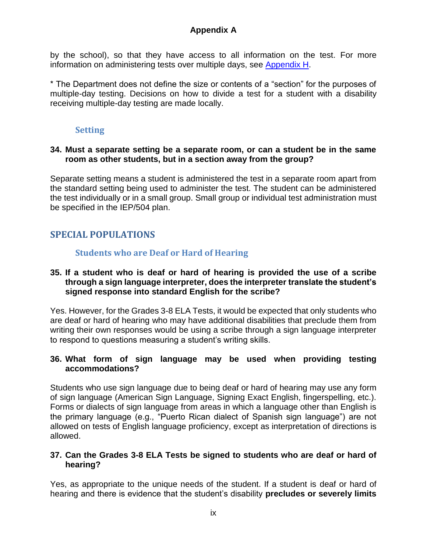by the school), so that they have access to all information on the test. For more information on administering tests over multiple days, see [Appendix H.](#page-59-0)

\* The Department does not define the size or contents of a "section" for the purposes of multiple-day testing. Decisions on how to divide a test for a student with a disability receiving multiple-day testing are made locally.

#### **Setting**

#### **34. Must a separate setting be a separate room, or can a student be in the same room as other students, but in a section away from the group?**

Separate setting means a student is administered the test in a separate room apart from the standard setting being used to administer the test. The student can be administered the test individually or in a small group. Small group or individual test administration must be specified in the IEP/504 plan.

#### **SPECIAL POPULATIONS**

#### **Students who are Deaf or Hard of Hearing**

#### **35. If a student who is deaf or hard of hearing is provided the use of a scribe through a sign language interpreter, does the interpreter translate the student's signed response into standard English for the scribe?**

Yes. However, for the Grades 3-8 ELA Tests, it would be expected that only students who are deaf or hard of hearing who may have additional disabilities that preclude them from writing their own responses would be using a scribe through a sign language interpreter to respond to questions measuring a student's writing skills.

#### **36. What form of sign language may be used when providing testing accommodations?**

Students who use sign language due to being deaf or hard of hearing may use any form of sign language (American Sign Language, Signing Exact English, fingerspelling, etc.). Forms or dialects of sign language from areas in which a language other than English is the primary language (e.g., "Puerto Rican dialect of Spanish sign language") are not allowed on tests of English language proficiency, except as interpretation of directions is allowed.

#### **37. Can the Grades 3-8 ELA Tests be signed to students who are deaf or hard of hearing?**

Yes, as appropriate to the unique needs of the student. If a student is deaf or hard of hearing and there is evidence that the student's disability **precludes or severely limits**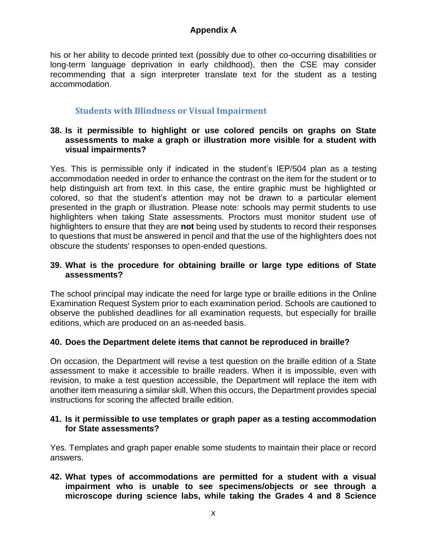his or her ability to decode printed text (possibly due to other co-occurring disabilities or long-term language deprivation in early childhood), then the CSE may consider recommending that a sign interpreter translate text for the student as a testing accommodation.

#### **Students with Blindness or Visual Impairment**

#### **38. Is it permissible to highlight or use colored pencils on graphs on State assessments to make a graph or illustration more visible for a student with visual impairments?**

Yes. This is permissible only if indicated in the student's IEP/504 plan as a testing accommodation needed in order to enhance the contrast on the item for the student or to help distinguish art from text. In this case, the entire graphic must be highlighted or colored, so that the student's attention may not be drawn to a particular element presented in the graph or illustration. Please note: schools may permit students to use highlighters when taking State assessments. Proctors must monitor student use of highlighters to ensure that they are **not** being used by students to record their responses to questions that must be answered in pencil and that the use of the highlighters does not obscure the students' responses to open-ended questions.

#### **39. What is the procedure for obtaining braille or large type editions of State assessments?**

The school principal may indicate the need for large type or braille editions in the Online Examination Request System prior to each examination period. Schools are cautioned to observe the published deadlines for all examination requests, but especially for braille editions, which are produced on an as-needed basis.

#### **40. Does the Department delete items that cannot be reproduced in braille?**

On occasion, the Department will revise a test question on the braille edition of a State assessment to make it accessible to braille readers. When it is impossible, even with revision, to make a test question accessible, the Department will replace the item with another item measuring a similar skill. When this occurs, the Department provides special instructions for scoring the affected braille edition.

#### **41. Is it permissible to use templates or graph paper as a testing accommodation for State assessments?**

Yes. Templates and graph paper enable some students to maintain their place or record answers.

**42. What types of accommodations are permitted for a student with a visual impairment who is unable to see specimens/objects or see through a microscope during science labs, while taking the Grades 4 and 8 Science**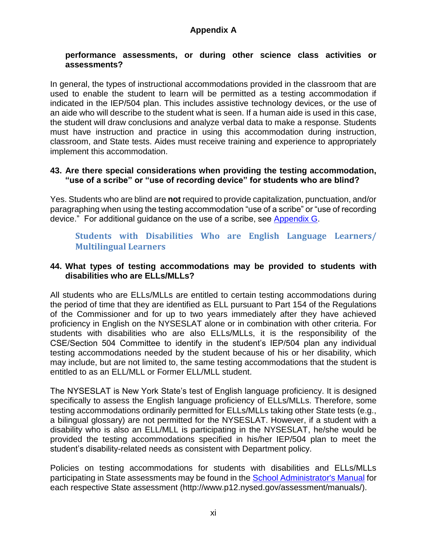#### **performance assessments, or during other science class activities or assessments?**

In general, the types of instructional accommodations provided in the classroom that are used to enable the student to learn will be permitted as a testing accommodation if indicated in the IEP/504 plan. This includes assistive technology devices, or the use of an aide who will describe to the student what is seen. If a human aide is used in this case, the student will draw conclusions and analyze verbal data to make a response. Students must have instruction and practice in using this accommodation during instruction, classroom, and State tests. Aides must receive training and experience to appropriately implement this accommodation.

#### **43. Are there special considerations when providing the testing accommodation, "use of a scribe" or "use of recording device" for students who are blind?**

Yes. Students who are blind are **not** required to provide capitalization, punctuation, and/or paragraphing when using the testing accommodation "use of a scribe" or "use of recording device." For additional guidance on the use of a scribe, see [Appendix G.](#page-57-0)

#### **Students with Disabilities Who are English Language Learners/ Multilingual Learners**

#### **44. What types of testing accommodations may be provided to students with disabilities who are ELLs/MLLs?**

All students who are ELLs/MLLs are entitled to certain testing accommodations during the period of time that they are identified as ELL pursuant to Part 154 of the Regulations of the Commissioner and for up to two years immediately after they have achieved proficiency in English on the NYSESLAT alone or in combination with other criteria. For students with disabilities who are also ELLs/MLLs, it is the responsibility of the CSE/Section 504 Committee to identify in the student's IEP/504 plan any individual testing accommodations needed by the student because of his or her disability, which may include, but are not limited to, the same testing accommodations that the student is entitled to as an ELL/MLL or Former ELL/MLL student.

The NYSESLAT is New York State's test of English language proficiency. It is designed specifically to assess the English language proficiency of ELLs/MLLs. Therefore, some testing accommodations ordinarily permitted for ELLs/MLLs taking other State tests (e.g., a bilingual glossary) are not permitted for the NYSESLAT. However, if a student with a disability who is also an ELL/MLL is participating in the NYSESLAT, he/she would be provided the testing accommodations specified in his/her IEP/504 plan to meet the student's disability-related needs as consistent with Department policy.

Policies on testing accommodations for students with disabilities and ELLs/MLLs participating in State assessments may be found in the [School Administrator's Manual](http://www.p12.nysed.gov/assessment/manuals/) for each respective State assessment (http://www.p12.nysed.gov/assessment/manuals/).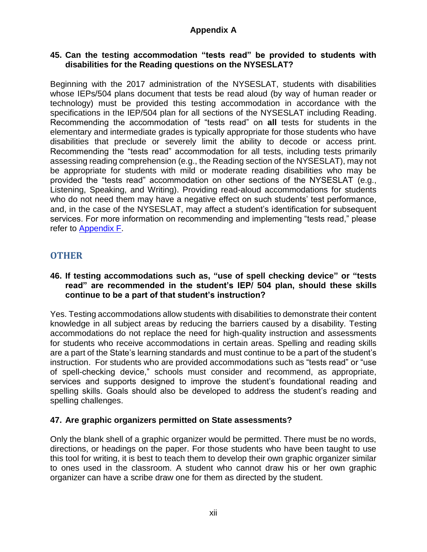#### **45. Can the testing accommodation "tests read" be provided to students with disabilities for the Reading questions on the NYSESLAT?**

Beginning with the 2017 administration of the NYSESLAT, students with disabilities whose IEPs/504 plans document that tests be read aloud (by way of human reader or technology) must be provided this testing accommodation in accordance with the specifications in the IEP/504 plan for all sections of the NYSESLAT including Reading. Recommending the accommodation of "tests read" on **all** tests for students in the elementary and intermediate grades is typically appropriate for those students who have disabilities that preclude or severely limit the ability to decode or access print. Recommending the "tests read" accommodation for all tests, including tests primarily assessing reading comprehension (e.g., the Reading section of the NYSESLAT), may not be appropriate for students with mild or moderate reading disabilities who may be provided the "tests read" accommodation on other sections of the NYSESLAT (e.g., Listening, Speaking, and Writing). Providing read-aloud accommodations for students who do not need them may have a negative effect on such students' test performance, and, in the case of the NYSESLAT, may affect a student's identification for subsequent services. For more information on recommending and implementing "tests read," please refer to [Appendix F.](#page-50-0)

#### **OTHER**

#### **46. If testing accommodations such as, "use of spell checking device" or "tests read" are recommended in the student's IEP/ 504 plan, should these skills continue to be a part of that student's instruction?**

Yes. Testing accommodations allow students with disabilities to demonstrate their content knowledge in all subject areas by reducing the barriers caused by a disability. Testing accommodations do not replace the need for high-quality instruction and assessments for students who receive accommodations in certain areas. Spelling and reading skills are a part of the State's learning standards and must continue to be a part of the student's instruction. For students who are provided accommodations such as "tests read" or "use of spell-checking device," schools must consider and recommend, as appropriate, services and supports designed to improve the student's foundational reading and spelling skills. Goals should also be developed to address the student's reading and spelling challenges.

#### **47. Are graphic organizers permitted on State assessments?**

Only the blank shell of a graphic organizer would be permitted. There must be no words, directions, or headings on the paper. For those students who have been taught to use this tool for writing, it is best to teach them to develop their own graphic organizer similar to ones used in the classroom. A student who cannot draw his or her own graphic organizer can have a scribe draw one for them as directed by the student.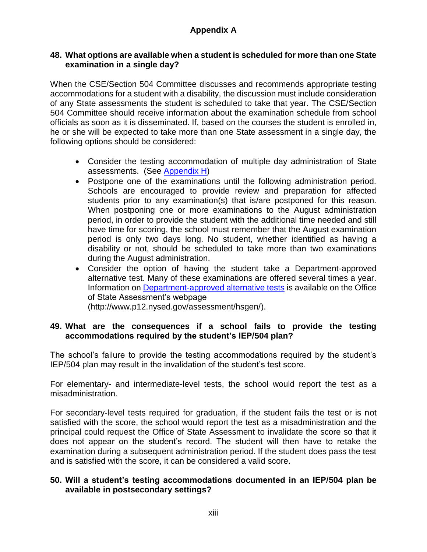#### **48. What options are available when a student is scheduled for more than one State examination in a single day?**

When the CSE/Section 504 Committee discusses and recommends appropriate testing accommodations for a student with a disability, the discussion must include consideration of any State assessments the student is scheduled to take that year. The CSE/Section 504 Committee should receive information about the examination schedule from school officials as soon as it is disseminated. If, based on the courses the student is enrolled in, he or she will be expected to take more than one State assessment in a single day, the following options should be considered:

- Consider the testing accommodation of multiple day administration of State assessments. (See [Appendix H\)](#page-59-0)
- Postpone one of the examinations until the following administration period. Schools are encouraged to provide review and preparation for affected students prior to any examination(s) that is/are postponed for this reason. When postponing one or more examinations to the August administration period, in order to provide the student with the additional time needed and still have time for scoring, the school must remember that the August examination period is only two days long. No student, whether identified as having a disability or not, should be scheduled to take more than two examinations during the August administration.
- Consider the option of having the student take a Department-approved alternative test. Many of these examinations are offered several times a year. Information on [Department-approved alternative tests](http://www.p12.nysed.gov/assessment/hsgen/) is available on the Office of State Assessment's webpage (http://www.p12.nysed.gov/assessment/hsgen/).

#### **49. What are the consequences if a school fails to provide the testing accommodations required by the student's IEP/504 plan?**

The school's failure to provide the testing accommodations required by the student's IEP/504 plan may result in the invalidation of the student's test score.

For elementary- and intermediate-level tests, the school would report the test as a misadministration.

For secondary-level tests required for graduation, if the student fails the test or is not satisfied with the score, the school would report the test as a misadministration and the principal could request the Office of State Assessment to invalidate the score so that it does not appear on the student's record. The student will then have to retake the examination during a subsequent administration period. If the student does pass the test and is satisfied with the score, it can be considered a valid score.

#### **50. Will a student's testing accommodations documented in an IEP/504 plan be available in postsecondary settings?**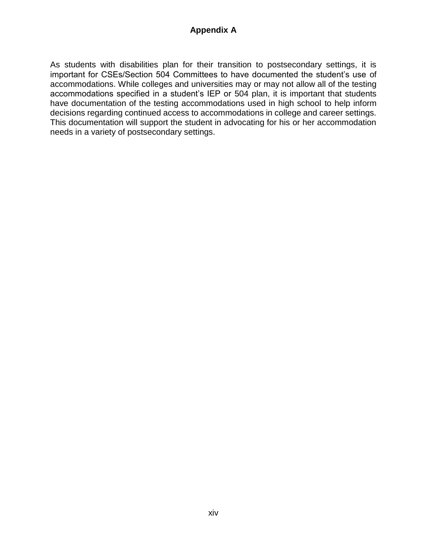As students with disabilities plan for their transition to postsecondary settings, it is important for CSEs/Section 504 Committees to have documented the student's use of accommodations. While colleges and universities may or may not allow all of the testing accommodations specified in a student's IEP or 504 plan, it is important that students have documentation of the testing accommodations used in high school to help inform decisions regarding continued access to accommodations in college and career settings. This documentation will support the student in advocating for his or her accommodation needs in a variety of postsecondary settings.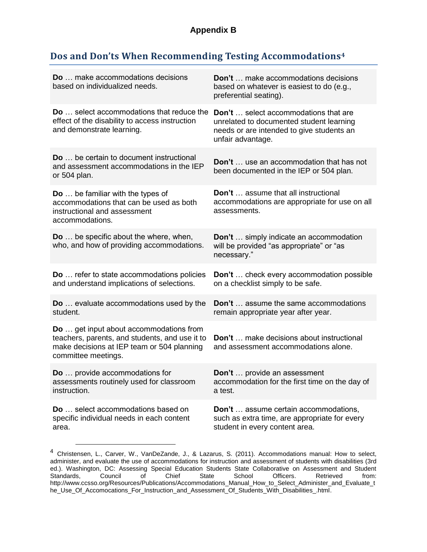#### <span id="page-40-0"></span>**Dos and Don'ts When Recommending Testing Accommodations<sup>4</sup>**

| <b>Do</b> make accommodations decisions<br>based on individualized needs.                                                                                            | <b>Don't</b> make accommodations decisions<br>based on whatever is easiest to do (e.g.,<br>preferential seating).                                         |
|----------------------------------------------------------------------------------------------------------------------------------------------------------------------|-----------------------------------------------------------------------------------------------------------------------------------------------------------|
| Do  select accommodations that reduce the<br>effect of the disability to access instruction<br>and demonstrate learning.                                             | <b>Don't</b> select accommodations that are<br>unrelated to documented student learning<br>needs or are intended to give students an<br>unfair advantage. |
| <b>Do</b> be certain to document instructional<br>and assessment accommodations in the IEP<br>or 504 plan.                                                           | <b>Don't</b> use an accommodation that has not<br>been documented in the IEP or 504 plan.                                                                 |
| <b>Do</b> be familiar with the types of<br>accommodations that can be used as both<br>instructional and assessment<br>accommodations.                                | <b>Don't</b> assume that all instructional<br>accommodations are appropriate for use on all<br>assessments.                                               |
| <b>Do</b> be specific about the where, when,<br>who, and how of providing accommodations.                                                                            | Don't  simply indicate an accommodation<br>will be provided "as appropriate" or "as<br>necessary."                                                        |
| Do  refer to state accommodations policies<br>and understand implications of selections.                                                                             | Don't  check every accommodation possible<br>on a checklist simply to be safe.                                                                            |
| Do  evaluate accommodations used by the<br>student.                                                                                                                  | <b>Don't</b> assume the same accommodations<br>remain appropriate year after year.                                                                        |
| <b>Do</b> get input about accommodations from<br>teachers, parents, and students, and use it to<br>make decisions at IEP team or 504 planning<br>committee meetings. | <b>Don't</b> make decisions about instructional<br>and assessment accommodations alone.                                                                   |
| <b>Do</b> provide accommodations for<br>assessments routinely used for classroom<br>instruction.                                                                     | Don't  provide an assessment<br>accommodation for the first time on the day of<br>a test.                                                                 |
| <b>Do</b> select accommodations based on<br>specific individual needs in each content<br>area.                                                                       | <b>Don't</b> assume certain accommodations,<br>such as extra time, are appropriate for every<br>student in every content area.                            |

<sup>4</sup> Christensen, L., Carver, W., VanDeZande, J., & Lazarus, S. (2011). Accommodations manual: How to select, administer, and evaluate the use of accommodations for instruction and assessment of students with disabilities (3rd ed.). Washington, DC: Assessing Special Education Students State Collaborative on Assessment and Student Standards, Council of Chief State School Officers. Retrieved from: http://www.ccsso.org/Resources/Publications/Accommodations\_Manual\_How\_to\_Select\_Administer\_and\_Evaluate\_t he\_Use\_Of\_Accomocations\_For\_Instruction\_and\_Assessment\_Of\_Students\_With\_Disabilities\_.html.

 $\overline{a}$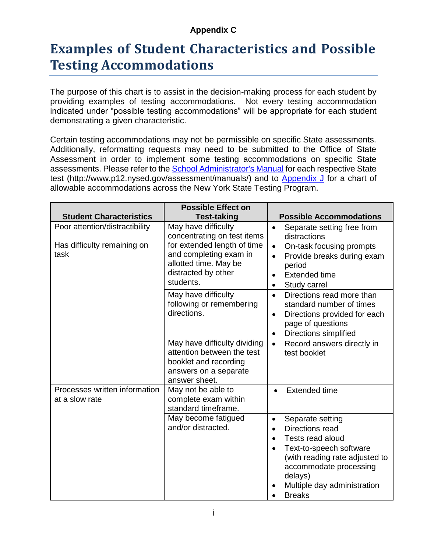#### **Appendix C**

### <span id="page-41-0"></span>**Examples of Student Characteristics and Possible Testing Accommodations**

The purpose of this chart is to assist in the decision-making process for each student by providing examples of testing accommodations. Not every testing accommodation indicated under "possible testing accommodations" will be appropriate for each student demonstrating a given characteristic.

Certain testing accommodations may not be permissible on specific State assessments. Additionally, reformatting requests may need to be submitted to the Office of State Assessment in order to implement some testing accommodations on specific State assessments. Please refer to the [School Administrator's Manual](http://www.p12.nysed.gov/assessment/manuals/) for each respective State test (http://www.p12.nysed.gov/assessment/manuals/) and to [Appendix J](#page-67-0) for a chart of allowable accommodations across the New York State Testing Program.

|                                                                       | <b>Possible Effect on</b>                                                                                                                                                |                                                                                                                                                                                                                                                               |
|-----------------------------------------------------------------------|--------------------------------------------------------------------------------------------------------------------------------------------------------------------------|---------------------------------------------------------------------------------------------------------------------------------------------------------------------------------------------------------------------------------------------------------------|
| <b>Student Characteristics</b>                                        | <b>Test-taking</b>                                                                                                                                                       | <b>Possible Accommodations</b>                                                                                                                                                                                                                                |
| Poor attention/distractibility<br>Has difficulty remaining on<br>task | May have difficulty<br>concentrating on test items<br>for extended length of time<br>and completing exam in<br>allotted time. May be<br>distracted by other<br>students. | Separate setting free from<br>$\bullet$<br>distractions<br>On-task focusing prompts<br>$\bullet$<br>Provide breaks during exam<br>$\bullet$<br>period<br><b>Extended time</b><br>$\bullet$<br>Study carrel<br>$\bullet$                                       |
|                                                                       | May have difficulty<br>following or remembering<br>directions.                                                                                                           | Directions read more than<br>$\bullet$<br>standard number of times<br>Directions provided for each<br>$\bullet$<br>page of questions<br>Directions simplified<br>$\bullet$                                                                                    |
|                                                                       | May have difficulty dividing<br>attention between the test<br>booklet and recording<br>answers on a separate<br>answer sheet.                                            | Record answers directly in<br>$\bullet$<br>test booklet                                                                                                                                                                                                       |
| Processes written information<br>at a slow rate                       | May not be able to<br>complete exam within<br>standard timeframe.                                                                                                        | <b>Extended time</b>                                                                                                                                                                                                                                          |
|                                                                       | May become fatigued<br>and/or distracted.                                                                                                                                | Separate setting<br>$\bullet$<br>Directions read<br>$\bullet$<br>Tests read aloud<br>$\bullet$<br>Text-to-speech software<br>$\bullet$<br>(with reading rate adjusted to<br>accommodate processing<br>delays)<br>Multiple day administration<br><b>Breaks</b> |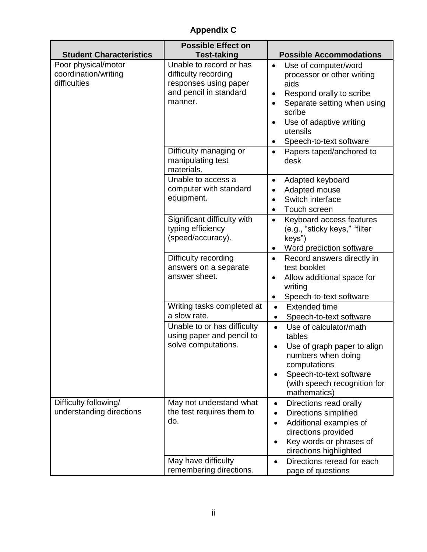### **Appendix C**

|                                                             | <b>Possible Effect on</b>                                                                                     |                                                                                                                                                                                                                                                                    |
|-------------------------------------------------------------|---------------------------------------------------------------------------------------------------------------|--------------------------------------------------------------------------------------------------------------------------------------------------------------------------------------------------------------------------------------------------------------------|
| <b>Student Characteristics</b>                              | <b>Test-taking</b>                                                                                            | <b>Possible Accommodations</b>                                                                                                                                                                                                                                     |
| Poor physical/motor<br>coordination/writing<br>difficulties | Unable to record or has<br>difficulty recording<br>responses using paper<br>and pencil in standard<br>manner. | Use of computer/word<br>$\bullet$<br>processor or other writing<br>aids<br>Respond orally to scribe<br>$\bullet$<br>Separate setting when using<br>$\bullet$<br>scribe<br>Use of adaptive writing<br>$\bullet$<br>utensils<br>Speech-to-text software<br>$\bullet$ |
|                                                             | Difficulty managing or<br>manipulating test<br>materials.                                                     | Papers taped/anchored to<br>$\bullet$<br>desk                                                                                                                                                                                                                      |
|                                                             | Unable to access a<br>computer with standard<br>equipment.                                                    | Adapted keyboard<br>$\bullet$<br>Adapted mouse<br>$\bullet$<br>Switch interface<br>$\bullet$<br>Touch screen<br>$\bullet$                                                                                                                                          |
|                                                             | Significant difficulty with<br>typing efficiency<br>(speed/accuracy).                                         | Keyboard access features<br>$\bullet$<br>(e.g., "sticky keys," "filter<br>keys")<br>Word prediction software<br>$\bullet$                                                                                                                                          |
|                                                             | Difficulty recording<br>answers on a separate<br>answer sheet.                                                | Record answers directly in<br>$\bullet$<br>test booklet<br>Allow additional space for<br>$\bullet$<br>writing<br>Speech-to-text software<br>$\bullet$                                                                                                              |
|                                                             | Writing tasks completed at<br>a slow rate.                                                                    | <b>Extended time</b><br>$\bullet$<br>Speech-to-text software<br>$\bullet$                                                                                                                                                                                          |
|                                                             | Unable to or has difficulty<br>using paper and pencil to<br>solve computations.                               | Use of calculator/math<br>$\bullet$<br>tables<br>Use of graph paper to align<br>$\bullet$<br>numbers when doing<br>computations<br>Speech-to-text software<br>(with speech recognition for<br>mathematics)                                                         |
| Difficulty following/<br>understanding directions           | May not understand what<br>the test requires them to<br>do.                                                   | Directions read orally<br>$\bullet$<br><b>Directions simplified</b><br>$\bullet$<br>Additional examples of<br>$\bullet$<br>directions provided<br>Key words or phrases of<br>$\bullet$<br>directions highlighted                                                   |
|                                                             | May have difficulty<br>remembering directions.                                                                | Directions reread for each<br>$\bullet$<br>page of questions                                                                                                                                                                                                       |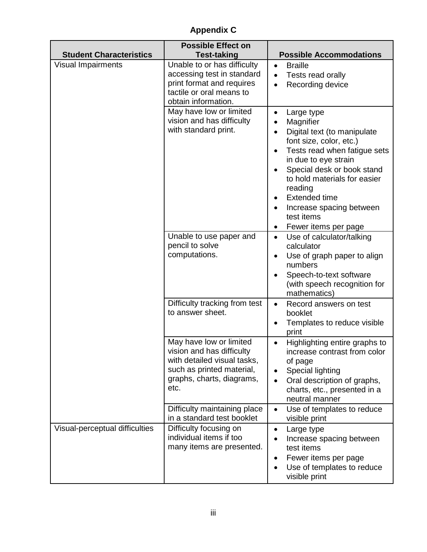**Appendix C**

| <b>Student Characteristics</b> | <b>Possible Effect on</b><br><b>Test-taking</b>                                                                                                       | <b>Possible Accommodations</b>                                                                                                                                                                                                                                                                                                         |
|--------------------------------|-------------------------------------------------------------------------------------------------------------------------------------------------------|----------------------------------------------------------------------------------------------------------------------------------------------------------------------------------------------------------------------------------------------------------------------------------------------------------------------------------------|
| <b>Visual Impairments</b>      | Unable to or has difficulty<br>accessing test in standard<br>print format and requires<br>tactile or oral means to<br>obtain information.             | <b>Braille</b><br>$\bullet$<br>Tests read orally<br>$\bullet$<br>Recording device                                                                                                                                                                                                                                                      |
|                                | May have low or limited<br>vision and has difficulty<br>with standard print.                                                                          | Large type<br>$\bullet$<br>Magnifier<br>Digital text (to manipulate<br>$\bullet$<br>font size, color, etc.)<br>Tests read when fatigue sets<br>in due to eye strain<br>Special desk or book stand<br>to hold materials for easier<br>reading<br><b>Extended time</b><br>Increase spacing between<br>test items<br>Fewer items per page |
|                                | Unable to use paper and<br>pencil to solve<br>computations.                                                                                           | Use of calculator/talking<br>$\bullet$<br>calculator<br>Use of graph paper to align<br>$\bullet$<br>numbers<br>Speech-to-text software<br>(with speech recognition for<br>mathematics)                                                                                                                                                 |
|                                | Difficulty tracking from test<br>to answer sheet.                                                                                                     | Record answers on test<br>$\bullet$<br>booklet<br>Templates to reduce visible<br>print                                                                                                                                                                                                                                                 |
|                                | May have low or limited<br>vision and has difficulty<br>with detailed visual tasks,<br>such as printed material,<br>graphs, charts, diagrams,<br>etc. | Highlighting entire graphs to<br>$\bullet$<br>increase contrast from color<br>of page<br>Special lighting<br>Oral description of graphs,<br>charts, etc., presented in a<br>neutral manner                                                                                                                                             |
|                                | Difficulty maintaining place<br>in a standard test booklet                                                                                            | Use of templates to reduce<br>$\bullet$<br>visible print                                                                                                                                                                                                                                                                               |
| Visual-perceptual difficulties | Difficulty focusing on<br>individual items if too<br>many items are presented.                                                                        | Large type<br>$\bullet$<br>Increase spacing between<br>test items<br>Fewer items per page<br>$\bullet$<br>Use of templates to reduce<br>visible print                                                                                                                                                                                  |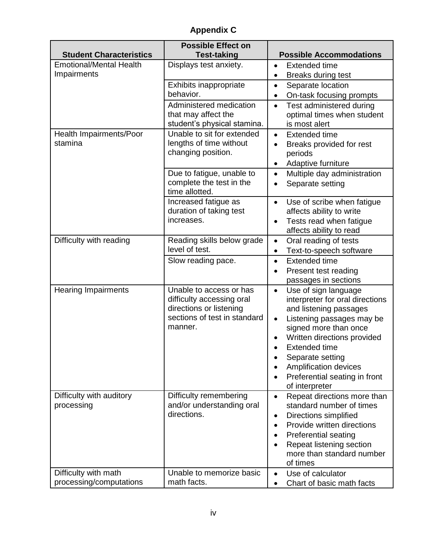**Appendix C**

| <b>Student Characteristics</b> | <b>Possible Effect on</b><br><b>Test-taking</b> | <b>Possible Accommodations</b>                                      |
|--------------------------------|-------------------------------------------------|---------------------------------------------------------------------|
| <b>Emotional/Mental Health</b> | Displays test anxiety.                          | <b>Extended time</b><br>$\bullet$                                   |
| Impairments                    |                                                 | <b>Breaks during test</b><br>$\bullet$                              |
|                                | Exhibits inappropriate                          | Separate location<br>$\bullet$                                      |
|                                | behavior.                                       | On-task focusing prompts<br>$\bullet$                               |
|                                | Administered medication                         | Test administered during<br>$\bullet$                               |
|                                | that may affect the                             | optimal times when student                                          |
|                                | student's physical stamina.                     | is most alert                                                       |
| Health Impairments/Poor        | Unable to sit for extended                      | <b>Extended time</b><br>$\bullet$                                   |
| stamina                        | lengths of time without                         | Breaks provided for rest                                            |
|                                | changing position.                              | periods                                                             |
|                                |                                                 | Adaptive furniture<br>$\bullet$                                     |
|                                | Due to fatigue, unable to                       | Multiple day administration<br>$\bullet$                            |
|                                | complete the test in the                        | Separate setting<br>$\bullet$                                       |
|                                | time allotted.                                  |                                                                     |
|                                | Increased fatigue as<br>duration of taking test | Use of scribe when fatigue<br>$\bullet$<br>affects ability to write |
|                                | increases.                                      | Tests read when fatigue<br>$\bullet$                                |
|                                |                                                 | affects ability to read                                             |
| Difficulty with reading        | Reading skills below grade                      | Oral reading of tests<br>$\bullet$                                  |
|                                | level of test.                                  | Text-to-speech software<br>$\bullet$                                |
|                                | Slow reading pace.                              | <b>Extended time</b><br>$\bullet$                                   |
|                                |                                                 | Present test reading<br>$\bullet$                                   |
|                                |                                                 | passages in sections                                                |
| <b>Hearing Impairments</b>     | Unable to access or has                         | Use of sign language<br>$\bullet$                                   |
|                                | difficulty accessing oral                       | interpreter for oral directions                                     |
|                                | directions or listening                         | and listening passages                                              |
|                                | sections of test in standard                    | Listening passages may be<br>$\bullet$                              |
|                                | manner.                                         | signed more than once                                               |
|                                |                                                 | Written directions provided                                         |
|                                |                                                 | <b>Extended time</b>                                                |
|                                |                                                 | Separate setting<br>Amplification devices                           |
|                                |                                                 | Preferential seating in front                                       |
|                                |                                                 | of interpreter                                                      |
| Difficulty with auditory       | Difficulty remembering                          | Repeat directions more than<br>$\bullet$                            |
| processing                     | and/or understanding oral                       | standard number of times                                            |
|                                | directions.                                     | Directions simplified<br>$\bullet$                                  |
|                                |                                                 | Provide written directions<br>$\bullet$                             |
|                                |                                                 | <b>Preferential seating</b><br>$\bullet$                            |
|                                |                                                 | Repeat listening section                                            |
|                                |                                                 | more than standard number                                           |
|                                |                                                 | of times                                                            |
| Difficulty with math           | Unable to memorize basic                        | Use of calculator<br>$\bullet$                                      |
| processing/computations        | math facts.                                     | Chart of basic math facts                                           |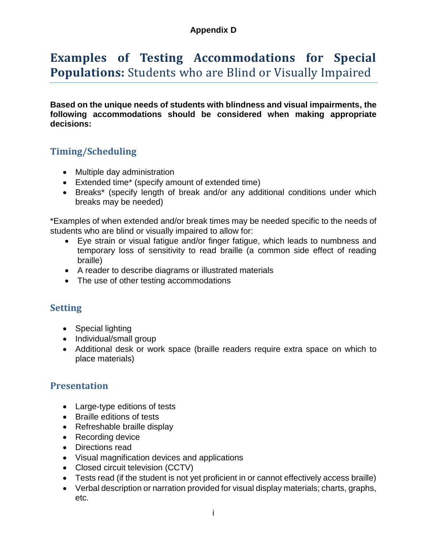#### **Appendix D**

### <span id="page-45-0"></span>**Examples of Testing Accommodations for Special Populations:** Students who are Blind or Visually Impaired

**Based on the unique needs of students with blindness and visual impairments, the following accommodations should be considered when making appropriate decisions:** 

#### **Timing/Scheduling**

- Multiple day administration
- Extended time\* (specify amount of extended time)
- Breaks\* (specify length of break and/or any additional conditions under which breaks may be needed)

\*Examples of when extended and/or break times may be needed specific to the needs of students who are blind or visually impaired to allow for:

- Eye strain or visual fatigue and/or finger fatigue, which leads to numbness and temporary loss of sensitivity to read braille (a common side effect of reading braille)
- A reader to describe diagrams or illustrated materials
- The use of other testing accommodations

#### **Setting**

- Special lighting
- Individual/small group
- Additional desk or work space (braille readers require extra space on which to place materials)

#### **Presentation**

- Large-type editions of tests
- Braille editions of tests
- Refreshable braille display
- Recording device
- Directions read
- Visual magnification devices and applications
- Closed circuit television (CCTV)
- Tests read (if the student is not yet proficient in or cannot effectively access braille)
- Verbal description or narration provided for visual display materials; charts, graphs, etc.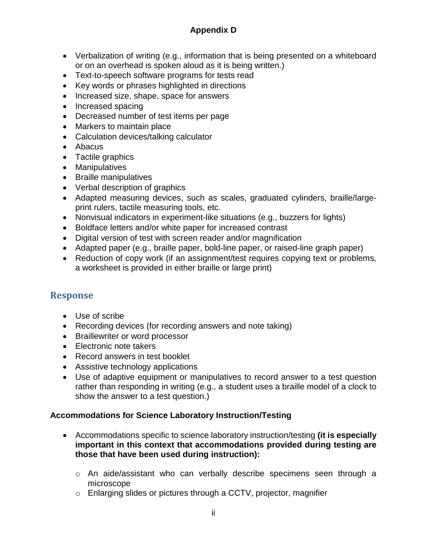#### **Appendix D**

- Verbalization of writing (e.g., information that is being presented on a whiteboard or on an overhead is spoken aloud as it is being written.)
- Text-to-speech software programs for tests read
- Key words or phrases highlighted in directions
- Increased size, shape, space for answers
- Increased spacing
- Decreased number of test items per page
- Markers to maintain place
- Calculation devices/talking calculator
- Abacus
- Tactile graphics
- Manipulatives
- Braille manipulatives
- Verbal description of graphics
- Adapted measuring devices, such as scales, graduated cylinders, braille/largeprint rulers, tactile measuring tools, etc.
- Nonvisual indicators in experiment-like situations (e.g., buzzers for lights)
- Boldface letters and/or white paper for increased contrast
- Digital version of test with screen reader and/or magnification
- Adapted paper (e.g., braille paper, bold-line paper, or raised-line graph paper)
- Reduction of copy work (if an assignment/test requires copying text or problems, a worksheet is provided in either braille or large print)

#### **Response**

- Use of scribe
- Recording devices (for recording answers and note taking)
- Braillewriter or word processor
- Electronic note takers
- Record answers in test booklet
- Assistive technology applications
- Use of adaptive equipment or manipulatives to record answer to a test question rather than responding in writing (e.g., a student uses a braille model of a clock to show the answer to a test question.)

#### **Accommodations for Science Laboratory Instruction/Testing**

- Accommodations specific to science laboratory instruction/testing **(it is especially important in this context that accommodations provided during testing are those that have been used during instruction):**
	- o An aide/assistant who can verbally describe specimens seen through a microscope
	- o Enlarging slides or pictures through a CCTV, projector, magnifier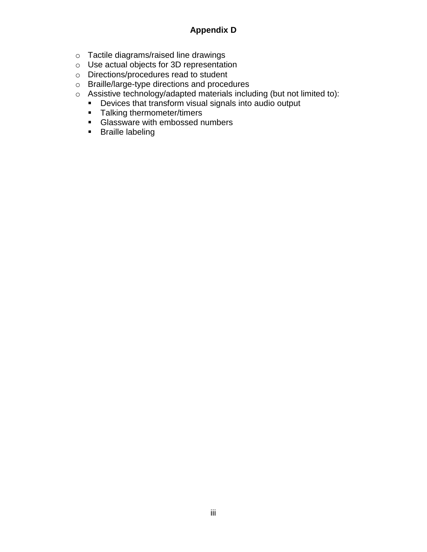#### **Appendix D**

- o Tactile diagrams/raised line drawings
- o Use actual objects for 3D representation
- o Directions/procedures read to student
- o Braille/large-type directions and procedures
- o Assistive technology/adapted materials including (but not limited to):
	- Devices that transform visual signals into audio output
	- Talking thermometer/timers
	- **E** Glassware with embossed numbers
	- Braille labeling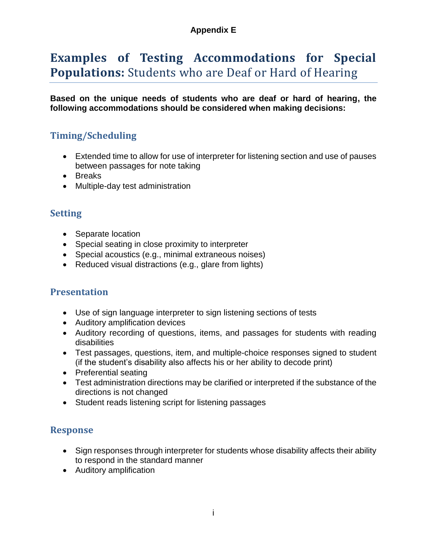#### **Appendix E**

### <span id="page-48-0"></span>**Examples of Testing Accommodations for Special Populations:** Students who are Deaf or Hard of Hearing

**Based on the unique needs of students who are deaf or hard of hearing, the following accommodations should be considered when making decisions:** 

#### **Timing/Scheduling**

- Extended time to allow for use of interpreter for listening section and use of pauses between passages for note taking
- Breaks
- Multiple-day test administration

#### **Setting**

- Separate location
- Special seating in close proximity to interpreter
- Special acoustics (e.g., minimal extraneous noises)
- Reduced visual distractions (e.g., glare from lights)

#### **Presentation**

- Use of sign language interpreter to sign listening sections of tests
- Auditory amplification devices
- Auditory recording of questions, items, and passages for students with reading disabilities
- Test passages, questions, item, and multiple-choice responses signed to student (if the student's disability also affects his or her ability to decode print)
- Preferential seating
- Test administration directions may be clarified or interpreted if the substance of the directions is not changed
- Student reads listening script for listening passages

#### **Response**

- Sign responses through interpreter for students whose disability affects their ability to respond in the standard manner
- Auditory amplification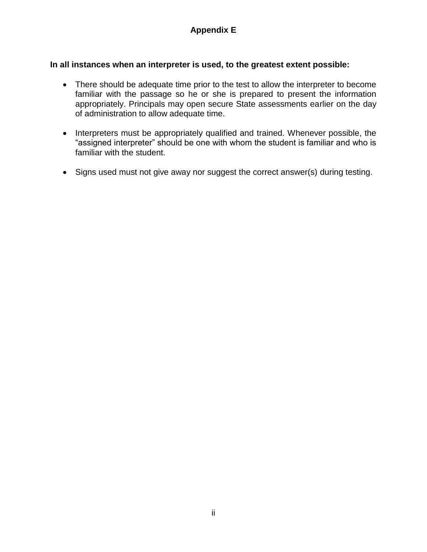#### **In all instances when an interpreter is used, to the greatest extent possible:**

- There should be adequate time prior to the test to allow the interpreter to become familiar with the passage so he or she is prepared to present the information appropriately. Principals may open secure State assessments earlier on the day of administration to allow adequate time.
- Interpreters must be appropriately qualified and trained. Whenever possible, the "assigned interpreter" should be one with whom the student is familiar and who is familiar with the student.
- Signs used must not give away nor suggest the correct answer(s) during testing.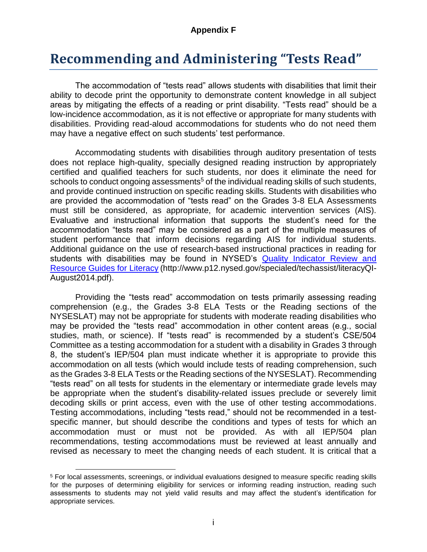#### **Appendix F**

### <span id="page-50-0"></span>**Recommending and Administering "Tests Read"**

The accommodation of "tests read" allows students with disabilities that limit their ability to decode print the opportunity to demonstrate content knowledge in all subject areas by mitigating the effects of a reading or print disability. "Tests read" should be a low-incidence accommodation, as it is not effective or appropriate for many students with disabilities. Providing read-aloud accommodations for students who do not need them may have a negative effect on such students' test performance.

Accommodating students with disabilities through auditory presentation of tests does not replace high-quality, specially designed reading instruction by appropriately certified and qualified teachers for such students, nor does it eliminate the need for schools to conduct ongoing assessments<sup>5</sup> of the individual reading skills of such students, and provide continued instruction on specific reading skills. Students with disabilities who are provided the accommodation of "tests read" on the Grades 3-8 ELA Assessments must still be considered, as appropriate, for academic intervention services (AIS). Evaluative and instructional information that supports the student's need for the accommodation "tests read" may be considered as a part of the multiple measures of student performance that inform decisions regarding AIS for individual students. Additional guidance on the use of research-based instructional practices in reading for students with disabilities may be found in NYSED's [Quality Indicator Review and](http://www.p12.nysed.gov/specialed/%20techassist/literacyQI-August2014.pdf)  [Resource Guides for Literacy](http://www.p12.nysed.gov/specialed/%20techassist/literacyQI-August2014.pdf) (http://www.p12.nysed.gov/specialed/techassist/literacyQI-August2014.pdf).

Providing the "tests read" accommodation on tests primarily assessing reading comprehension (e.g., the Grades 3-8 ELA Tests or the Reading sections of the NYSESLAT) may not be appropriate for students with moderate reading disabilities who may be provided the "tests read" accommodation in other content areas (e.g., social studies, math, or science). If "tests read" is recommended by a student's CSE/504 Committee as a testing accommodation for a student with a disability in Grades 3 through 8, the student's IEP/504 plan must indicate whether it is appropriate to provide this accommodation on all tests (which would include tests of reading comprehension, such as the Grades 3-8 ELA Tests or the Reading sections of the NYSESLAT). Recommending "tests read" on all tests for students in the elementary or intermediate grade levels may be appropriate when the student's disability-related issues preclude or severely limit decoding skills or print access, even with the use of other testing accommodations. Testing accommodations, including "tests read," should not be recommended in a testspecific manner, but should describe the conditions and types of tests for which an accommodation must or must not be provided. As with all IEP/504 plan recommendations, testing accommodations must be reviewed at least annually and revised as necessary to meet the changing needs of each student. It is critical that a

 $\overline{a}$ <sup>5</sup> For local assessments, screenings, or individual evaluations designed to measure specific reading skills for the purposes of determining eligibility for services or informing reading instruction, reading such assessments to students may not yield valid results and may affect the student's identification for appropriate services.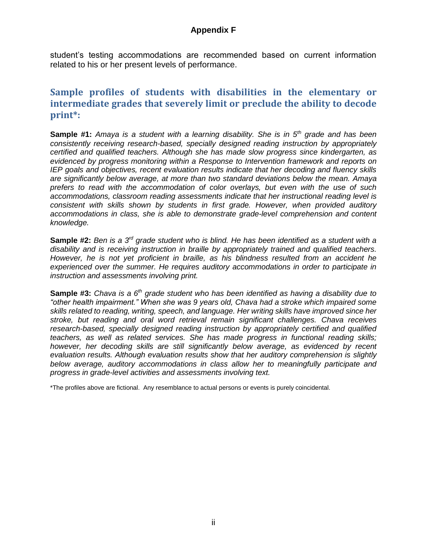#### **Appendix F**

student's testing accommodations are recommended based on current information related to his or her present levels of performance.

#### **Sample profiles of students with disabilities in the elementary or intermediate grades that severely limit or preclude the ability to decode print\*:**

**Sample #1:** *Amaya is a student with a learning disability. She is in 5th grade and has been consistently receiving research-based, specially designed reading instruction by appropriately certified and qualified teachers. Although she has made slow progress since kindergarten, as evidenced by progress monitoring within a Response to Intervention framework and reports on IEP goals and objectives, recent evaluation results indicate that her decoding and fluency skills are significantly below average, at more than two standard deviations below the mean. Amaya prefers to read with the accommodation of color overlays, but even with the use of such accommodations, classroom reading assessments indicate that her instructional reading level is consistent with skills shown by students in first grade. However, when provided auditory accommodations in class, she is able to demonstrate grade-level comprehension and content knowledge.*

Sample #2: Ben is a 3<sup>rd</sup> grade student who is blind. He has been identified as a student with a *disability and is receiving instruction in braille by appropriately trained and qualified teachers. However, he is not yet proficient in braille, as his blindness resulted from an accident he experienced over the summer. He requires auditory accommodations in order to participate in instruction and assessments involving print.* 

**Sample #3:** *Chava is a 6th grade student who has been identified as having a disability due to "other health impairment." When she was 9 years old, Chava had a stroke which impaired some skills related to reading, writing, speech, and language. Her writing skills have improved since her stroke, but reading and oral word retrieval remain significant challenges. Chava receives research-based, specially designed reading instruction by appropriately certified and qualified teachers, as well as related services. She has made progress in functional reading skills; however, her decoding skills are still significantly below average, as evidenced by recent evaluation results. Although evaluation results show that her auditory comprehension is slightly below average, auditory accommodations in class allow her to meaningfully participate and progress in grade-level activities and assessments involving text.*

\*The profiles above are fictional. Any resemblance to actual persons or events is purely coincidental.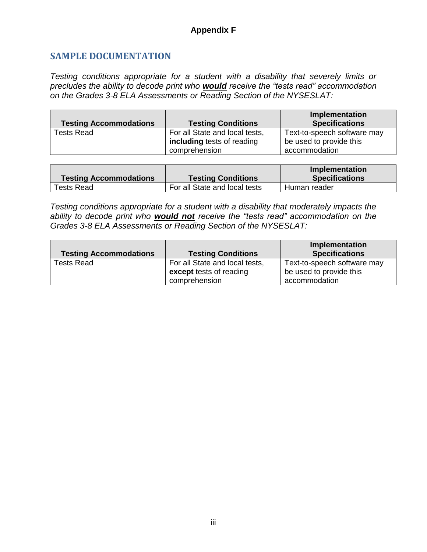#### **SAMPLE DOCUMENTATION**

*Testing conditions appropriate for a student with a disability that severely limits or precludes the ability to decode print who would receive the "tests read" accommodation on the Grades 3-8 ELA Assessments or Reading Section of the NYSESLAT:*

| <b>Testing Accommodations</b> | <b>Testing Conditions</b>                                                     | <b>Implementation</b><br><b>Specifications</b>                          |
|-------------------------------|-------------------------------------------------------------------------------|-------------------------------------------------------------------------|
| <b>Tests Read</b>             | For all State and local tests,<br>including tests of reading<br>comprehension | Text-to-speech software may<br>be used to provide this<br>accommodation |

|                               |                               | Implementation        |
|-------------------------------|-------------------------------|-----------------------|
| <b>Testing Accommodations</b> | <b>Testing Conditions</b>     | <b>Specifications</b> |
| <b>Tests Read</b>             | For all State and local tests | Human reader          |

*Testing conditions appropriate for a student with a disability that moderately impacts the ability to decode print who would not receive the "tests read" accommodation on the Grades 3-8 ELA Assessments or Reading Section of the NYSESLAT:*

|                               |                                | <b>Implementation</b>       |
|-------------------------------|--------------------------------|-----------------------------|
| <b>Testing Accommodations</b> | <b>Testing Conditions</b>      | <b>Specifications</b>       |
| Tests Read                    | For all State and local tests, | Text-to-speech software may |
|                               | except tests of reading        | be used to provide this     |
|                               | comprehension                  | accommodation               |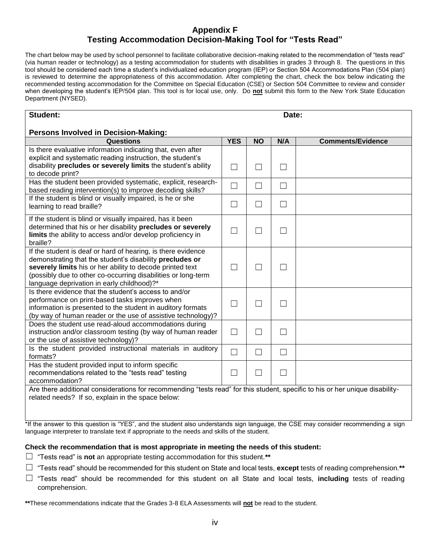#### **Appendix F Testing Accommodation Decision-Making Tool for "Tests Read"**

The chart below may be used by school personnel to facilitate collaborative decision-making related to the recommendation of "tests read" (via human reader or technology) as a testing accommodation for students with disabilities in grades 3 through 8. The questions in this tool should be considered each time a student's individualized education program (IEP) or Section 504 Accommodations Plan (504 plan) is reviewed to determine the appropriateness of this accommodation. After completing the chart, check the box below indicating the recommended testing accommodation for the Committee on Special Education (CSE) or Section 504 Committee to review and consider when developing the student's IEP/504 plan. This tool is for local use, only. Do **not** submit this form to the New York State Education Department (NYSED).

| Student:                                                                                                                      |                          |                          | Date:  |                          |
|-------------------------------------------------------------------------------------------------------------------------------|--------------------------|--------------------------|--------|--------------------------|
| <b>Persons Involved in Decision-Making:</b>                                                                                   |                          |                          |        |                          |
| Questions                                                                                                                     | <b>YES</b>               | <b>NO</b>                | N/A    | <b>Comments/Evidence</b> |
| Is there evaluative information indicating that, even after                                                                   |                          |                          |        |                          |
| explicit and systematic reading instruction, the student's                                                                    |                          |                          |        |                          |
| disability precludes or severely limits the student's ability                                                                 | $\overline{\phantom{a}}$ |                          | $\Box$ |                          |
| to decode print?                                                                                                              |                          |                          |        |                          |
| Has the student been provided systematic, explicit, research-                                                                 | $\Box$                   |                          | $\Box$ |                          |
| based reading intervention(s) to improve decoding skills?                                                                     |                          |                          |        |                          |
| If the student is blind or visually impaired, is he or she                                                                    |                          |                          |        |                          |
| learning to read braille?                                                                                                     | $\Box$                   | $\overline{\phantom{a}}$ | $\Box$ |                          |
| If the student is blind or visually impaired, has it been                                                                     |                          |                          |        |                          |
| determined that his or her disability precludes or severely                                                                   |                          |                          |        |                          |
| limits the ability to access and/or develop proficiency in                                                                    | $\mathcal{L}$            |                          | $\Box$ |                          |
| braille?                                                                                                                      |                          |                          |        |                          |
| If the student is deaf or hard of hearing, is there evidence                                                                  |                          |                          |        |                          |
| demonstrating that the student's disability precludes or                                                                      |                          |                          |        |                          |
| severely limits his or her ability to decode printed text                                                                     | $\mathcal{L}$            |                          | П      |                          |
| (possibly due to other co-occurring disabilities or long-term                                                                 |                          |                          |        |                          |
| language deprivation in early childhood)?*                                                                                    |                          |                          |        |                          |
| Is there evidence that the student's access to and/or                                                                         |                          |                          |        |                          |
| performance on print-based tasks improves when                                                                                | П                        |                          | П      |                          |
| information is presented to the student in auditory formats                                                                   |                          |                          |        |                          |
| (by way of human reader or the use of assistive technology)?                                                                  |                          |                          |        |                          |
| Does the student use read-aloud accommodations during                                                                         |                          |                          |        |                          |
| instruction and/or classroom testing (by way of human reader                                                                  | $\Box$                   | $\mathcal{L}$            | $\Box$ |                          |
| or the use of assistive technology)?                                                                                          |                          |                          |        |                          |
| Is the student provided instructional materials in auditory                                                                   | $\Box$                   | $\overline{\phantom{a}}$ | $\Box$ |                          |
| formats?                                                                                                                      |                          |                          |        |                          |
| Has the student provided input to inform specific                                                                             |                          |                          |        |                          |
| recommendations related to the "tests read" testing                                                                           | $\mathcal{L}$            | $\overline{\phantom{a}}$ | $\Box$ |                          |
| accommodation?                                                                                                                |                          |                          |        |                          |
| Are there additional considerations for recommending "tests read" for this student, specific to his or her unique disability- |                          |                          |        |                          |
| related needs? If so, explain in the space below:                                                                             |                          |                          |        |                          |

\*If the answer to this question is "YES", and the student also understands sign language, the CSE may consider recommending a sign language interpreter to translate text if appropriate to the needs and skills of the student.

#### **Check the recommendation that is most appropriate in meeting the needs of this student:**

- ☐ "Tests read" is **not** an appropriate testing accommodation for this student.**\*\***
- ☐ "Tests read" should be recommended for this student on State and local tests, **except** tests of reading comprehension.**\*\***
- ☐ "Tests read" should be recommended for this student on all State and local tests, **including** tests of reading comprehension.

**\*\***These recommendations indicate that the Grades 3-8 ELA Assessments will **not** be read to the student.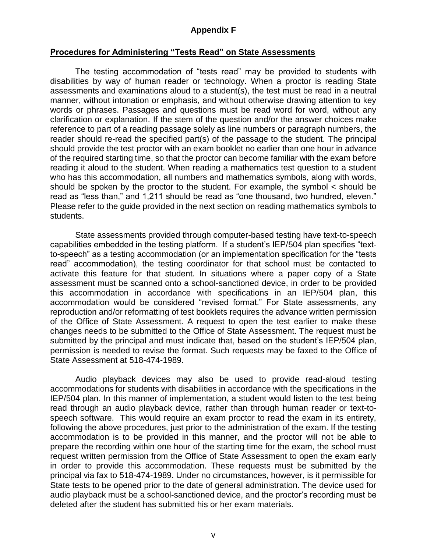#### **Appendix F**

#### **Procedures for Administering "Tests Read" on State Assessments**

The testing accommodation of "tests read" may be provided to students with disabilities by way of human reader or technology. When a proctor is reading State assessments and examinations aloud to a student(s), the test must be read in a neutral manner, without intonation or emphasis, and without otherwise drawing attention to key words or phrases. Passages and questions must be read word for word, without any clarification or explanation. If the stem of the question and/or the answer choices make reference to part of a reading passage solely as line numbers or paragraph numbers, the reader should re-read the specified part(s) of the passage to the student. The principal should provide the test proctor with an exam booklet no earlier than one hour in advance of the required starting time, so that the proctor can become familiar with the exam before reading it aloud to the student. When reading a mathematics test question to a student who has this accommodation, all numbers and mathematics symbols, along with words, should be spoken by the proctor to the student. For example, the symbol < should be read as "less than," and 1,211 should be read as "one thousand, two hundred, eleven." Please refer to the guide provided in the next section on reading mathematics symbols to students.

State assessments provided through computer-based testing have text-to-speech capabilities embedded in the testing platform. If a student's IEP/504 plan specifies "textto-speech" as a testing accommodation (or an implementation specification for the "tests read" accommodation), the testing coordinator for that school must be contacted to activate this feature for that student. In situations where a paper copy of a State assessment must be scanned onto a school-sanctioned device, in order to be provided this accommodation in accordance with specifications in an IEP/504 plan, this accommodation would be considered "revised format." For State assessments, any reproduction and/or reformatting of test booklets requires the advance written permission of the Office of State Assessment. A request to open the test earlier to make these changes needs to be submitted to the Office of State Assessment. The request must be submitted by the principal and must indicate that, based on the student's IEP/504 plan, permission is needed to revise the format. Such requests may be faxed to the Office of State Assessment at 518-474-1989.

Audio playback devices may also be used to provide read-aloud testing accommodations for students with disabilities in accordance with the specifications in the IEP/504 plan. In this manner of implementation, a student would listen to the test being read through an audio playback device, rather than through human reader or text-tospeech software. This would require an exam proctor to read the exam in its entirety, following the above procedures, just prior to the administration of the exam. If the testing accommodation is to be provided in this manner, and the proctor will not be able to prepare the recording within one hour of the starting time for the exam, the school must request written permission from the Office of State Assessment to open the exam early in order to provide this accommodation. These requests must be submitted by the principal via fax to 518-474-1989. Under no circumstances, however, is it permissible for State tests to be opened prior to the date of general administration. The device used for audio playback must be a school-sanctioned device, and the proctor's recording must be deleted after the student has submitted his or her exam materials.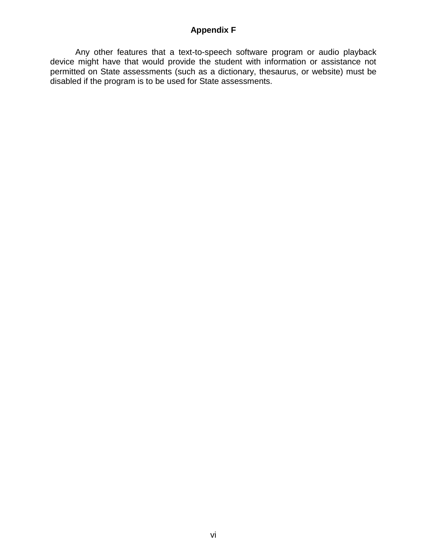#### **Appendix F**

Any other features that a text-to-speech software program or audio playback device might have that would provide the student with information or assistance not permitted on State assessments (such as a dictionary, thesaurus, or website) must be disabled if the program is to be used for State assessments.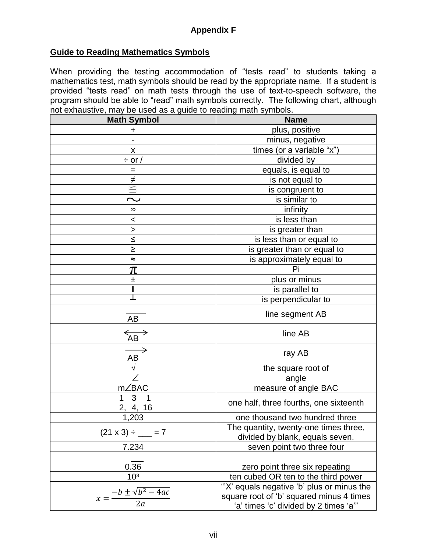#### **Guide to Reading Mathematics Symbols**

When providing the testing accommodation of "tests read" to students taking a mathematics test, math symbols should be read by the appropriate name. If a student is provided "tests read" on math tests through the use of text-to-speech software, the program should be able to "read" math symbols correctly. The following chart, although not exhaustive, may be used as a guide to reading math symbols.

| <b>Math Symbol</b>                                | <b>Name</b>                                                                                                                   |  |  |  |  |
|---------------------------------------------------|-------------------------------------------------------------------------------------------------------------------------------|--|--|--|--|
| ٠                                                 | plus, positive                                                                                                                |  |  |  |  |
|                                                   | minus, negative                                                                                                               |  |  |  |  |
| x                                                 | times (or a variable "x")                                                                                                     |  |  |  |  |
| $\div$ or /                                       | divided by                                                                                                                    |  |  |  |  |
| $=$                                               | equals, is equal to                                                                                                           |  |  |  |  |
| $\neq$                                            | is not equal to                                                                                                               |  |  |  |  |
| $\equiv$                                          | is congruent to                                                                                                               |  |  |  |  |
| ب                                                 | is similar to                                                                                                                 |  |  |  |  |
| $\infty$                                          | infinity                                                                                                                      |  |  |  |  |
| <                                                 | is less than                                                                                                                  |  |  |  |  |
| >                                                 | is greater than                                                                                                               |  |  |  |  |
| $\leq$                                            | is less than or equal to                                                                                                      |  |  |  |  |
| ≥                                                 | is greater than or equal to                                                                                                   |  |  |  |  |
| ≈                                                 | is approximately equal to                                                                                                     |  |  |  |  |
| π                                                 | Pi                                                                                                                            |  |  |  |  |
| ᆂ                                                 | plus or minus                                                                                                                 |  |  |  |  |
| II                                                | is parallel to                                                                                                                |  |  |  |  |
|                                                   | is perpendicular to                                                                                                           |  |  |  |  |
| AB                                                | line segment AB                                                                                                               |  |  |  |  |
| $\overleftrightarrow{AB}$                         | line AB                                                                                                                       |  |  |  |  |
| $\rightarrow$<br>AB                               | ray AB                                                                                                                        |  |  |  |  |
|                                                   | the square root of                                                                                                            |  |  |  |  |
|                                                   | angle                                                                                                                         |  |  |  |  |
| m∠BAC                                             | measure of angle BAC                                                                                                          |  |  |  |  |
| $\frac{3}{4}$<br>$\frac{1}{2}$<br><u>_1</u><br>16 | one half, three fourths, one sixteenth                                                                                        |  |  |  |  |
| 1,203                                             | one thousand two hundred three                                                                                                |  |  |  |  |
| $(21 \times 3) \div \_ = 7$                       | The quantity, twenty-one times three,<br>divided by blank, equals seven.                                                      |  |  |  |  |
| 7.234                                             | seven point two three four                                                                                                    |  |  |  |  |
| 0.36                                              | zero point three six repeating                                                                                                |  |  |  |  |
| 10 <sup>3</sup>                                   | ten cubed OR ten to the third power                                                                                           |  |  |  |  |
| $x = \frac{-b \pm \sqrt{b^2 - 4ac}}{2a}$<br>2a    | "X' equals negative 'b' plus or minus the<br>square root of 'b' squared minus 4 times<br>'a' times 'c' divided by 2 times 'a" |  |  |  |  |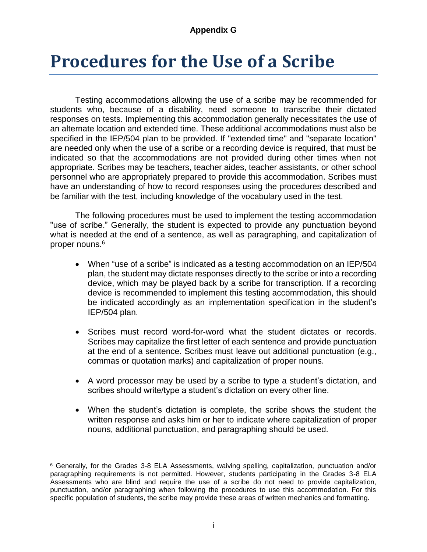#### **Appendix G**

## <span id="page-57-0"></span>**Procedures for the Use of a Scribe**

Testing accommodations allowing the use of a scribe may be recommended for students who, because of a disability, need someone to transcribe their dictated responses on tests. Implementing this accommodation generally necessitates the use of an alternate location and extended time. These additional accommodations must also be specified in the IEP/504 plan to be provided. If "extended time" and "separate location" are needed only when the use of a scribe or a recording device is required, that must be indicated so that the accommodations are not provided during other times when not appropriate. Scribes may be teachers, teacher aides, teacher assistants, or other school personnel who are appropriately prepared to provide this accommodation. Scribes must have an understanding of how to record responses using the procedures described and be familiar with the test, including knowledge of the vocabulary used in the test.

The following procedures must be used to implement the testing accommodation "use of scribe." Generally, the student is expected to provide any punctuation beyond what is needed at the end of a sentence, as well as paragraphing, and capitalization of proper nouns. 6

- When "use of a scribe" is indicated as a testing accommodation on an IEP/504 plan, the student may dictate responses directly to the scribe or into a recording device, which may be played back by a scribe for transcription. If a recording device is recommended to implement this testing accommodation, this should be indicated accordingly as an implementation specification in the student's IEP/504 plan.
- Scribes must record word-for-word what the student dictates or records. Scribes may capitalize the first letter of each sentence and provide punctuation at the end of a sentence. Scribes must leave out additional punctuation (e.g., commas or quotation marks) and capitalization of proper nouns.
- A word processor may be used by a scribe to type a student's dictation, and scribes should write/type a student's dictation on every other line.
- When the student's dictation is complete, the scribe shows the student the written response and asks him or her to indicate where capitalization of proper nouns, additional punctuation, and paragraphing should be used.

 $\overline{a}$ 

<sup>6</sup> Generally, for the Grades 3-8 ELA Assessments, waiving spelling, capitalization, punctuation and/or paragraphing requirements is not permitted. However, students participating in the Grades 3-8 ELA Assessments who are blind and require the use of a scribe do not need to provide capitalization, punctuation, and/or paragraphing when following the procedures to use this accommodation. For this specific population of students, the scribe may provide these areas of written mechanics and formatting.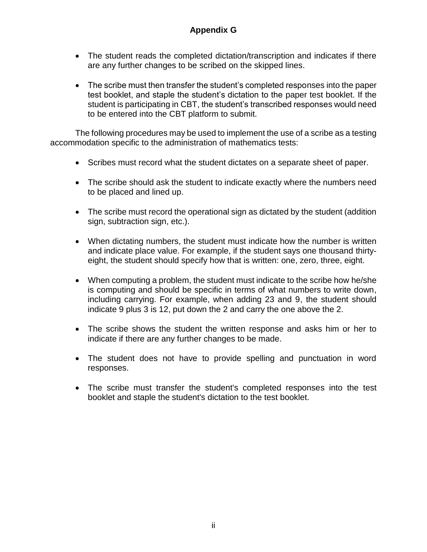#### **Appendix G**

- The student reads the completed dictation/transcription and indicates if there are any further changes to be scribed on the skipped lines.
- The scribe must then transfer the student's completed responses into the paper test booklet, and staple the student's dictation to the paper test booklet. If the student is participating in CBT, the student's transcribed responses would need to be entered into the CBT platform to submit.

The following procedures may be used to implement the use of a scribe as a testing accommodation specific to the administration of mathematics tests:

- Scribes must record what the student dictates on a separate sheet of paper.
- The scribe should ask the student to indicate exactly where the numbers need to be placed and lined up.
- The scribe must record the operational sign as dictated by the student (addition sign, subtraction sign, etc.).
- When dictating numbers, the student must indicate how the number is written and indicate place value. For example, if the student says one thousand thirtyeight, the student should specify how that is written: one, zero, three, eight.
- When computing a problem, the student must indicate to the scribe how he/she is computing and should be specific in terms of what numbers to write down, including carrying. For example, when adding 23 and 9, the student should indicate 9 plus 3 is 12, put down the 2 and carry the one above the 2.
- The scribe shows the student the written response and asks him or her to indicate if there are any further changes to be made.
- The student does not have to provide spelling and punctuation in word responses.
- The scribe must transfer the student's completed responses into the test booklet and staple the student's dictation to the test booklet.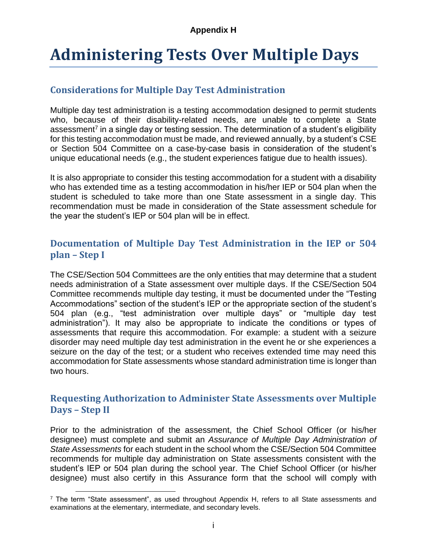## <span id="page-59-0"></span>**Administering Tests Over Multiple Days**

#### **Considerations for Multiple Day Test Administration**

Multiple day test administration is a testing accommodation designed to permit students who, because of their disability-related needs, are unable to complete a State assessment<sup>7</sup> in a single day or testing session. The determination of a student's eligibility for this testing accommodation must be made, and reviewed annually, by a student's CSE or Section 504 Committee on a case-by-case basis in consideration of the student's unique educational needs (e.g., the student experiences fatigue due to health issues).

It is also appropriate to consider this testing accommodation for a student with a disability who has extended time as a testing accommodation in his/her IEP or 504 plan when the student is scheduled to take more than one State assessment in a single day. This recommendation must be made in consideration of the State assessment schedule for the year the student's IEP or 504 plan will be in effect.

#### **Documentation of Multiple Day Test Administration in the IEP or 504 plan – Step I**

The CSE/Section 504 Committees are the only entities that may determine that a student needs administration of a State assessment over multiple days. If the CSE/Section 504 Committee recommends multiple day testing, it must be documented under the "Testing Accommodations" section of the student's IEP or the appropriate section of the student's 504 plan (e.g., "test administration over multiple days" or "multiple day test administration"). It may also be appropriate to indicate the conditions or types of assessments that require this accommodation. For example: a student with a seizure disorder may need multiple day test administration in the event he or she experiences a seizure on the day of the test; or a student who receives extended time may need this accommodation for State assessments whose standard administration time is longer than two hours.

#### **Requesting Authorization to Administer State Assessments over Multiple Days – Step II**

Prior to the administration of the assessment, the Chief School Officer (or his/her designee) must complete and submit an *Assurance of Multiple Day Administration of State Assessments* for each student in the school whom the CSE/Section 504 Committee recommends for multiple day administration on State assessments consistent with the student's IEP or 504 plan during the school year. The Chief School Officer (or his/her designee) must also certify in this Assurance form that the school will comply with

 $\overline{a}$ 

 $<sup>7</sup>$  The term "State assessment", as used throughout Appendix H, refers to all State assessments and</sup> examinations at the elementary, intermediate, and secondary levels.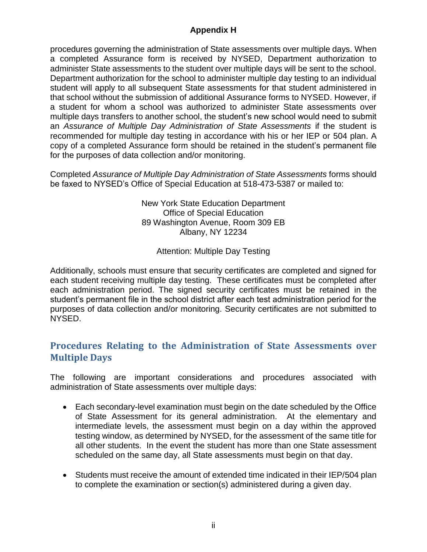procedures governing the administration of State assessments over multiple days. When a completed Assurance form is received by NYSED, Department authorization to administer State assessments to the student over multiple days will be sent to the school. Department authorization for the school to administer multiple day testing to an individual student will apply to all subsequent State assessments for that student administered in that school without the submission of additional Assurance forms to NYSED. However, if a student for whom a school was authorized to administer State assessments over multiple days transfers to another school, the student's new school would need to submit an *Assurance of Multiple Day Administration of State Assessments* if the student is recommended for multiple day testing in accordance with his or her IEP or 504 plan. A copy of a completed Assurance form should be retained in the student's permanent file for the purposes of data collection and/or monitoring.

Completed *Assurance of Multiple Day Administration of State Assessments* forms should be faxed to NYSED's Office of Special Education at 518-473-5387 or mailed to:

> New York State Education Department Office of Special Education 89 Washington Avenue, Room 309 EB Albany, NY 12234

> > Attention: Multiple Day Testing

Additionally, schools must ensure that security certificates are completed and signed for each student receiving multiple day testing. These certificates must be completed after each administration period. The signed security certificates must be retained in the student's permanent file in the school district after each test administration period for the purposes of data collection and/or monitoring. Security certificates are not submitted to NYSED.

#### **Procedures Relating to the Administration of State Assessments over Multiple Days**

The following are important considerations and procedures associated with administration of State assessments over multiple days:

- Each secondary-level examination must begin on the date scheduled by the Office of State Assessment for its general administration. At the elementary and intermediate levels, the assessment must begin on a day within the approved testing window, as determined by NYSED, for the assessment of the same title for all other students. In the event the student has more than one State assessment scheduled on the same day, all State assessments must begin on that day.
- Students must receive the amount of extended time indicated in their IEP/504 plan to complete the examination or section(s) administered during a given day.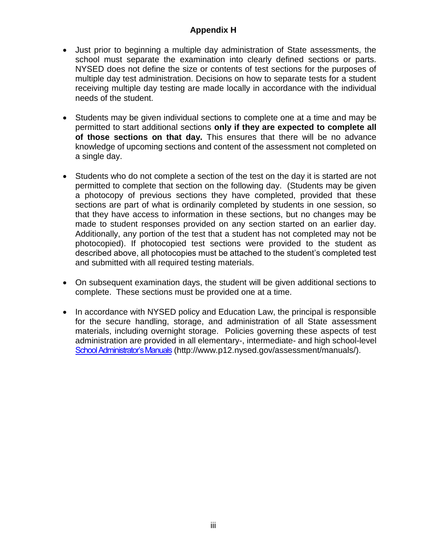- Just prior to beginning a multiple day administration of State assessments, the school must separate the examination into clearly defined sections or parts. NYSED does not define the size or contents of test sections for the purposes of multiple day test administration. Decisions on how to separate tests for a student receiving multiple day testing are made locally in accordance with the individual needs of the student.
- Students may be given individual sections to complete one at a time and may be permitted to start additional sections **only if they are expected to complete all of those sections on that day.** This ensures that there will be no advance knowledge of upcoming sections and content of the assessment not completed on a single day.
- Students who do not complete a section of the test on the day it is started are not permitted to complete that section on the following day. (Students may be given a photocopy of previous sections they have completed, provided that these sections are part of what is ordinarily completed by students in one session, so that they have access to information in these sections, but no changes may be made to student responses provided on any section started on an earlier day. Additionally, any portion of the test that a student has not completed may not be photocopied). If photocopied test sections were provided to the student as described above, all photocopies must be attached to the student's completed test and submitted with all required testing materials.
- On subsequent examination days, the student will be given additional sections to complete. These sections must be provided one at a time.
- In accordance with NYSED policy and Education Law, the principal is responsible for the secure handling, storage, and administration of all State assessment materials, including overnight storage. Policies governing these aspects of test administration are provided in all elementary-, intermediate- and high school-level [School Administrator's Manuals](http://www.p12.nysed.gov/assessment/manuals/) (http://www.p12.nysed.gov/assessment/manuals/).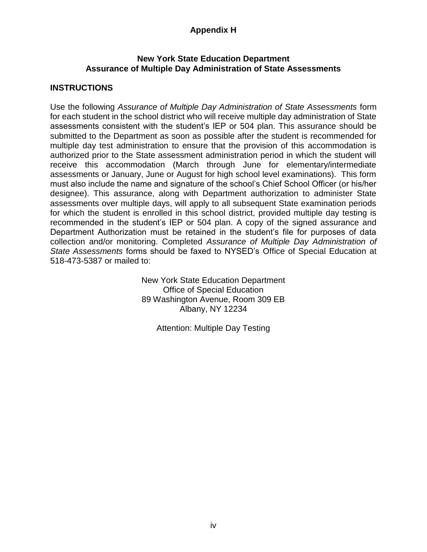#### **New York State Education Department Assurance of Multiple Day Administration of State Assessments**

#### **INSTRUCTIONS**

Use the following *Assurance of Multiple Day Administration of State Assessments* form for each student in the school district who will receive multiple day administration of State assessments consistent with the student's IEP or 504 plan. This assurance should be submitted to the Department as soon as possible after the student is recommended for multiple day test administration to ensure that the provision of this accommodation is authorized prior to the State assessment administration period in which the student will receive this accommodation (March through June for elementary/intermediate assessments or January, June or August for high school level examinations). This form must also include the name and signature of the school's Chief School Officer (or his/her designee). This assurance, along with Department authorization to administer State assessments over multiple days, will apply to all subsequent State examination periods for which the student is enrolled in this school district, provided multiple day testing is recommended in the student's IEP or 504 plan. A copy of the signed assurance and Department Authorization must be retained in the student's file for purposes of data collection and/or monitoring. Completed *Assurance of Multiple Day Administration of State Assessments* forms should be faxed to NYSED's Office of Special Education at 518-473-5387 or mailed to:

> New York State Education Department Office of Special Education 89 Washington Avenue, Room 309 EB Albany, NY 12234

> > Attention: Multiple Day Testing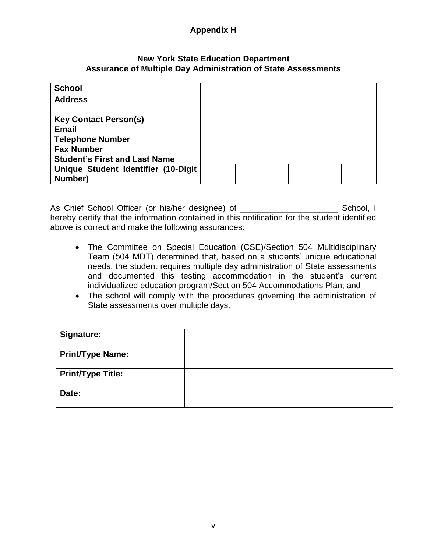#### **New York State Education Department Assurance of Multiple Day Administration of State Assessments**

| <b>School</b>                        |  |  |  |  |  |
|--------------------------------------|--|--|--|--|--|
| <b>Address</b>                       |  |  |  |  |  |
|                                      |  |  |  |  |  |
| <b>Key Contact Person(s)</b>         |  |  |  |  |  |
| <b>Email</b>                         |  |  |  |  |  |
| <b>Telephone Number</b>              |  |  |  |  |  |
| <b>Fax Number</b>                    |  |  |  |  |  |
| <b>Student's First and Last Name</b> |  |  |  |  |  |
| Unique Student Identifier (10-Digit  |  |  |  |  |  |
| Number)                              |  |  |  |  |  |

As Chief School Officer (or his/her designee) of \_\_\_\_\_\_\_\_\_\_\_\_\_\_\_\_\_\_\_\_\_\_\_\_\_\_\_\_\_\_\_ School, I hereby certify that the information contained in this notification for the student identified above is correct and make the following assurances:

- The Committee on Special Education (CSE)/Section 504 Multidisciplinary Team (504 MDT) determined that, based on a students' unique educational needs, the student requires multiple day administration of State assessments and documented this testing accommodation in the student's current individualized education program/Section 504 Accommodations Plan; and
- The school will comply with the procedures governing the administration of State assessments over multiple days.

| <b>Signature:</b>        |  |
|--------------------------|--|
| <b>Print/Type Name:</b>  |  |
| <b>Print/Type Title:</b> |  |
| Date:                    |  |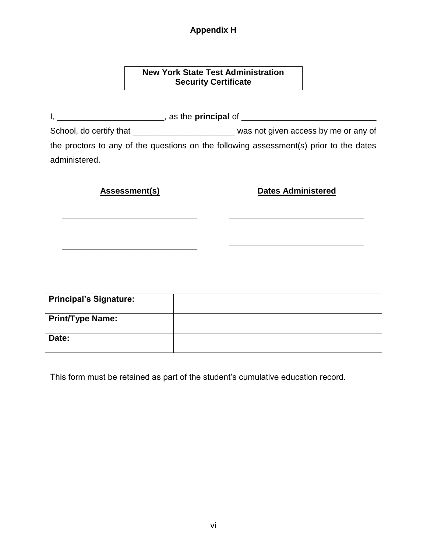#### **New York State Test Administration Security Certificate**

I, \_\_\_\_\_\_\_\_\_\_\_\_\_\_\_\_\_\_\_\_\_\_\_, as the **principal** of \_\_\_\_\_\_\_\_\_\_\_\_\_\_\_\_\_\_\_\_\_\_\_\_\_\_\_\_\_ School, do certify that \_\_\_\_\_\_\_\_\_\_\_\_\_\_\_\_\_\_\_\_\_\_\_\_\_\_\_\_\_\_\_\_ was not given access by me or any of the proctors to any of the questions on the following assessment(s) prior to the dates administered.

**Assessment(s) Dates Administered** 

\_\_\_\_\_\_\_\_\_\_\_\_\_\_\_\_\_\_\_\_\_\_\_\_\_\_\_\_\_

| <b>Principal's Signature:</b> |  |
|-------------------------------|--|
| <b>Print/Type Name:</b>       |  |
| Date:                         |  |

This form must be retained as part of the student's cumulative education record.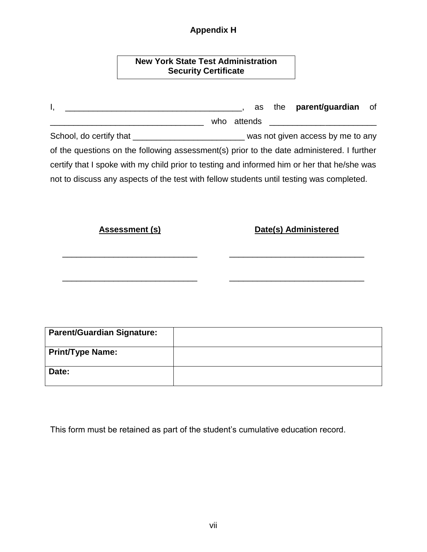| <b>New York State Test Administration</b> |  |
|-------------------------------------------|--|
| <b>Security Certificate</b>               |  |

| <u> 2000 - Jan James James Barnett, amerikan bisa di sebagai pertama dan pada 2000 - perang pertama dan pertama d</u><br>ι, | as          | the <b>parent/guardian</b><br>οf |
|-----------------------------------------------------------------------------------------------------------------------------|-------------|----------------------------------|
| <u> 1989 - Johann Stoff, fransk politik (d. 1989)</u>                                                                       | who attends |                                  |
| School, do certify that _________________________________ was not given access by me to any                                 |             |                                  |
| of the questions on the following assessment(s) prior to the date administered. I further                                   |             |                                  |
| certify that I spoke with my child prior to testing and informed him or her that he/she was                                 |             |                                  |
| not to discuss any aspects of the test with fellow students until testing was completed.                                    |             |                                  |
| <b>Assessment (s)</b>                                                                                                       |             | Date(s) Administered             |
|                                                                                                                             |             |                                  |
| <b>Parent/Guardian Signature:</b>                                                                                           |             |                                  |

| Parent/Guardian Signature: |  |
|----------------------------|--|
| <b>Print/Type Name:</b>    |  |
| Date:                      |  |

This form must be retained as part of the student's cumulative education record.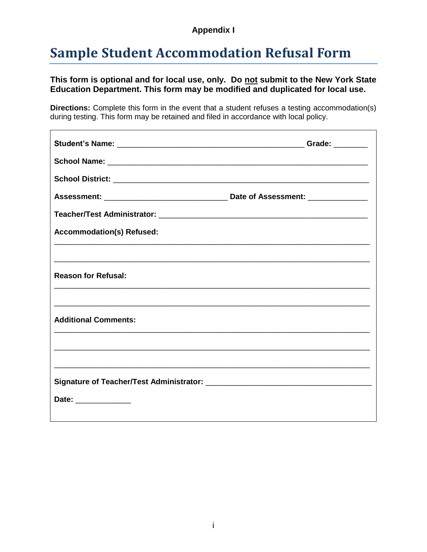#### **Appendix I**

### <span id="page-66-0"></span>**Sample Student Accommodation Refusal Form**

#### **This form is optional and for local use, only. Do not submit to the New York State Education Department. This form may be modified and duplicated for local use.**

**Directions:** Complete this form in the event that a student refuses a testing accommodation(s) during testing. This form may be retained and filed in accordance with local policy.

| <b>Accommodation(s) Refused:</b> |  |
|----------------------------------|--|
|                                  |  |
| <b>Reason for Refusal:</b>       |  |
| <b>Additional Comments:</b>      |  |
|                                  |  |
|                                  |  |
| Date: ______________             |  |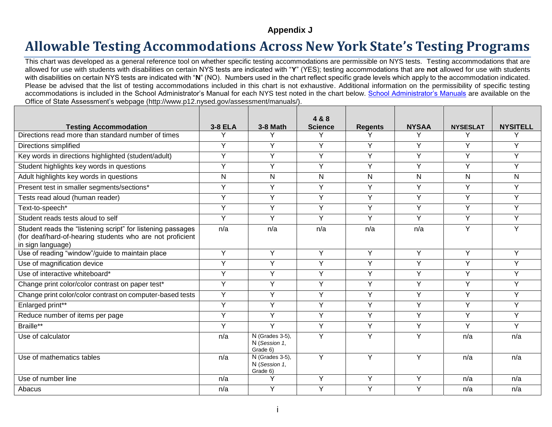#### **Appendix J**

### **Allowable Testing Accommodations Across New York State's Testing Programs**

This chart was developed as a general reference tool on whether specific testing accommodations are permissible on NYS tests. Testing accommodations that are allowed for use with students with disabilities on certain NYS tests are indicated with "**Y**" (YES); testing accommodations that are **not** allowed for use with students with disabilities on certain NYS tests are indicated with "**N**" (NO). Numbers used in the chart reflect specific grade levels which apply to the accommodation indicated. Please be advised that the list of testing accommodations included in this chart is not exhaustive. Additional information on the permissibility of specific testing accommodations is included in the School Administrator's Manual for each NYS test noted in the chart below. [School Administrator's Manuals](http://www.p12.nysed.gov/assessment/manuals/) are available on the Office of State Assessment's webpage (http://www.p12.nysed.gov/assessment/manuals/).

<span id="page-67-0"></span>

|                                                                                                                                               |                |                                              | 4 & 8          |                |                |                 |                 |
|-----------------------------------------------------------------------------------------------------------------------------------------------|----------------|----------------------------------------------|----------------|----------------|----------------|-----------------|-----------------|
| <b>Testing Accommodation</b>                                                                                                                  | 3-8 ELA        | 3-8 Math                                     | <b>Science</b> | <b>Regents</b> | <b>NYSAA</b>   | <b>NYSESLAT</b> | <b>NYSITELL</b> |
| Directions read more than standard number of times                                                                                            | Y              | Υ                                            | Υ              | Υ              | Υ              | Υ               | Υ               |
| Directions simplified                                                                                                                         | Y              | Y                                            | Y              | Y              | Y              | Y               | Y               |
| Key words in directions highlighted (student/adult)                                                                                           | Y              | Y                                            | Y              | Y              | Y              | Y               | Y               |
| Student highlights key words in questions                                                                                                     | $\overline{Y}$ | Y                                            | $\overline{Y}$ | Y              | $\overline{Y}$ | $\overline{Y}$  | Y               |
| Adult highlights key words in questions                                                                                                       | $\mathsf{N}$   | $\mathsf{N}$                                 | N              | N              | $\mathsf{N}$   | N               | N               |
| Present test in smaller segments/sections*                                                                                                    | Y              | Y                                            | Y              | Y              | Y              | Y               | Y               |
| Tests read aloud (human reader)                                                                                                               | Y              | Y                                            | Y              | Y              | Y              | Y               | Y               |
| Text-to-speech*                                                                                                                               | Y              | Y                                            | Y              | Y              | Y              | Y               | Y               |
| Student reads tests aloud to self                                                                                                             | Y              | Y                                            | Y              | Y              | Y              | Y               | Y               |
| Student reads the "listening script" for listening passages<br>(for deaf/hard-of-hearing students who are not proficient<br>in sign language) | n/a            | n/a                                          | n/a            | n/a            | n/a            | Y               | Y               |
| Use of reading "window"/guide to maintain place                                                                                               | Y              | Y                                            | Y              | Y              | Y              | Y               | Y               |
| Use of magnification device                                                                                                                   | $\overline{Y}$ | Y                                            | Y              | Y              | Y              | Y               | Y               |
| Use of interactive whiteboard*                                                                                                                | Y              | Y                                            | $\overline{Y}$ | Y              | Y              | Y               | Y               |
| Change print color/color contrast on paper test*                                                                                              | Y              | Y                                            | $\overline{Y}$ | Y              | Y              | Y               | Y               |
| Change print color/color contrast on computer-based tests                                                                                     | Y              | Y                                            | Y              | Y              | Y              | Y               | Y               |
| Enlarged print**                                                                                                                              | Y              | Y                                            | Y              | Y              | Y              | Y               | Y               |
| Reduce number of items per page                                                                                                               | $\overline{Y}$ | Y                                            | Y              | Y              | Y              | Y               | Y               |
| Braille**                                                                                                                                     | Y              | Y                                            | Y              | Y              | Y              | Y               | Y               |
| Use of calculator                                                                                                                             | n/a            | N (Grades 3-5),<br>N (Session 1,<br>Grade 6) | Y              | Y              | Y              | n/a             | n/a             |
| Use of mathematics tables                                                                                                                     | n/a            | N (Grades 3-5),<br>N (Session 1,<br>Grade 6) | Y              | Y              | Y              | n/a             | n/a             |
| Use of number line                                                                                                                            | n/a            | Υ                                            | Y              | Y              | Y              | n/a             | n/a             |
| Abacus                                                                                                                                        | n/a            | Y                                            | Y              | Y              | Y              | n/a             | n/a             |